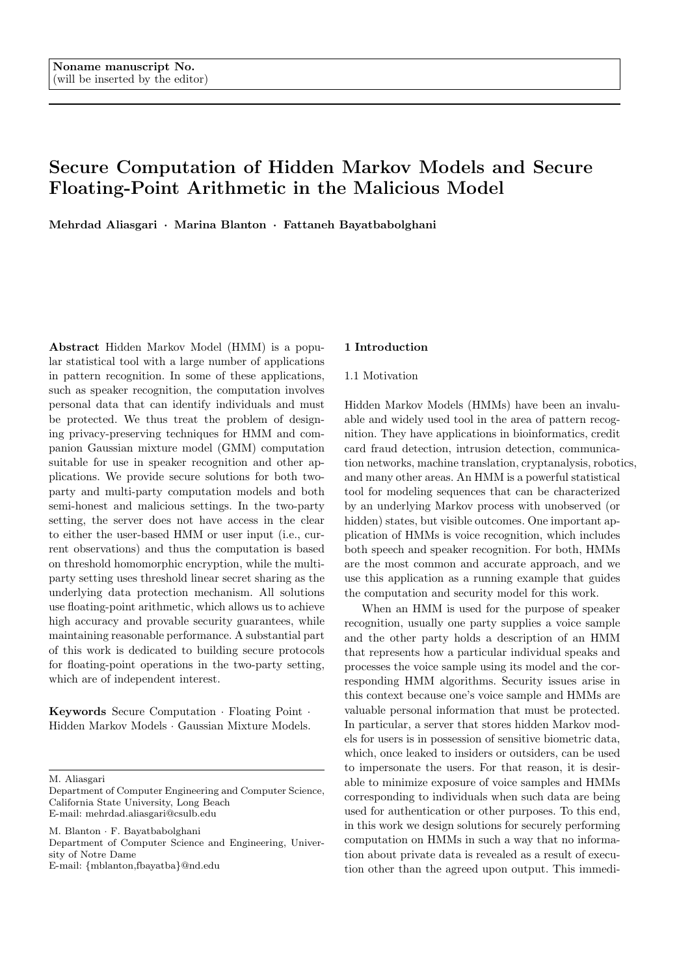# Secure Computation of Hidden Markov Models and Secure Floating-Point Arithmetic in the Malicious Model

Mehrdad Aliasgari · Marina Blanton · Fattaneh Bayatbabolghani

Abstract Hidden Markov Model (HMM) is a popular statistical tool with a large number of applications in pattern recognition. In some of these applications, such as speaker recognition, the computation involves personal data that can identify individuals and must be protected. We thus treat the problem of designing privacy-preserving techniques for HMM and companion Gaussian mixture model (GMM) computation suitable for use in speaker recognition and other applications. We provide secure solutions for both twoparty and multi-party computation models and both semi-honest and malicious settings. In the two-party setting, the server does not have access in the clear to either the user-based HMM or user input (i.e., current observations) and thus the computation is based on threshold homomorphic encryption, while the multiparty setting uses threshold linear secret sharing as the underlying data protection mechanism. All solutions use floating-point arithmetic, which allows us to achieve high accuracy and provable security guarantees, while maintaining reasonable performance. A substantial part of this work is dedicated to building secure protocols for floating-point operations in the two-party setting, which are of independent interest.

Keywords Secure Computation · Floating Point · Hidden Markov Models · Gaussian Mixture Models.

M. Aliasgari

M. Blanton · F. Bayatbabolghani Department of Computer Science and Engineering, University of Notre Dame E-mail: {mblanton,fbayatba}@nd.edu

#### 1 Introduction

#### 1.1 Motivation

Hidden Markov Models (HMMs) have been an invaluable and widely used tool in the area of pattern recognition. They have applications in bioinformatics, credit card fraud detection, intrusion detection, communication networks, machine translation, cryptanalysis, robotics, and many other areas. An HMM is a powerful statistical tool for modeling sequences that can be characterized by an underlying Markov process with unobserved (or hidden) states, but visible outcomes. One important application of HMMs is voice recognition, which includes both speech and speaker recognition. For both, HMMs are the most common and accurate approach, and we use this application as a running example that guides the computation and security model for this work.

When an HMM is used for the purpose of speaker recognition, usually one party supplies a voice sample and the other party holds a description of an HMM that represents how a particular individual speaks and processes the voice sample using its model and the corresponding HMM algorithms. Security issues arise in this context because one's voice sample and HMMs are valuable personal information that must be protected. In particular, a server that stores hidden Markov models for users is in possession of sensitive biometric data, which, once leaked to insiders or outsiders, can be used to impersonate the users. For that reason, it is desirable to minimize exposure of voice samples and HMMs corresponding to individuals when such data are being used for authentication or other purposes. To this end, in this work we design solutions for securely performing computation on HMMs in such a way that no information about private data is revealed as a result of execution other than the agreed upon output. This immedi-

Department of Computer Engineering and Computer Science, California State University, Long Beach E-mail: mehrdad.aliasgari@csulb.edu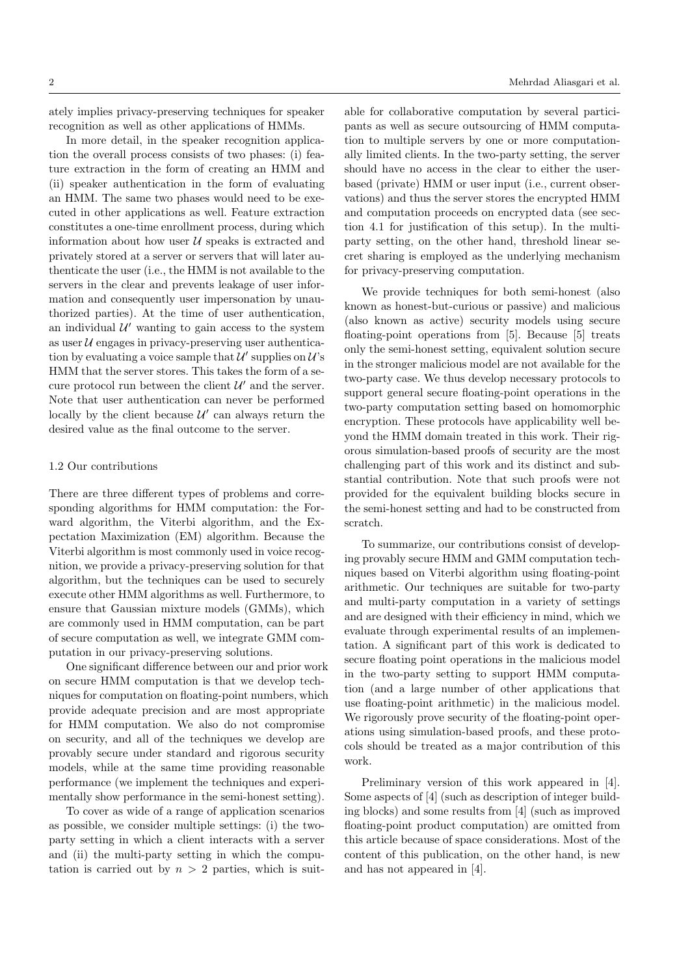ately implies privacy-preserving techniques for speaker recognition as well as other applications of HMMs.

In more detail, in the speaker recognition application the overall process consists of two phases: (i) feature extraction in the form of creating an HMM and (ii) speaker authentication in the form of evaluating an HMM. The same two phases would need to be executed in other applications as well. Feature extraction constitutes a one-time enrollment process, during which information about how user  $U$  speaks is extracted and privately stored at a server or servers that will later authenticate the user (i.e., the HMM is not available to the servers in the clear and prevents leakage of user information and consequently user impersonation by unauthorized parties). At the time of user authentication, an individual  $\mathcal{U}'$  wanting to gain access to the system as user  $U$  engages in privacy-preserving user authentication by evaluating a voice sample that  $\mathcal{U}'$  supplies on  $\mathcal{U}'$ 's HMM that the server stores. This takes the form of a secure protocol run between the client  $\mathcal{U}'$  and the server. Note that user authentication can never be performed locally by the client because  $\mathcal{U}'$  can always return the desired value as the final outcome to the server.

## 1.2 Our contributions

There are three different types of problems and corresponding algorithms for HMM computation: the Forward algorithm, the Viterbi algorithm, and the Expectation Maximization (EM) algorithm. Because the Viterbi algorithm is most commonly used in voice recognition, we provide a privacy-preserving solution for that algorithm, but the techniques can be used to securely execute other HMM algorithms as well. Furthermore, to ensure that Gaussian mixture models (GMMs), which are commonly used in HMM computation, can be part of secure computation as well, we integrate GMM computation in our privacy-preserving solutions.

One significant difference between our and prior work on secure HMM computation is that we develop techniques for computation on floating-point numbers, which provide adequate precision and are most appropriate for HMM computation. We also do not compromise on security, and all of the techniques we develop are provably secure under standard and rigorous security models, while at the same time providing reasonable performance (we implement the techniques and experimentally show performance in the semi-honest setting).

To cover as wide of a range of application scenarios as possible, we consider multiple settings: (i) the twoparty setting in which a client interacts with a server and (ii) the multi-party setting in which the computation is carried out by  $n > 2$  parties, which is suitable for collaborative computation by several participants as well as secure outsourcing of HMM computation to multiple servers by one or more computationally limited clients. In the two-party setting, the server should have no access in the clear to either the userbased (private) HMM or user input (i.e., current observations) and thus the server stores the encrypted HMM and computation proceeds on encrypted data (see section 4.1 for justification of this setup). In the multiparty setting, on the other hand, threshold linear secret sharing is employed as the underlying mechanism for privacy-preserving computation.

We provide techniques for both semi-honest (also known as honest-but-curious or passive) and malicious (also known as active) security models using secure floating-point operations from [5]. Because [5] treats only the semi-honest setting, equivalent solution secure in the stronger malicious model are not available for the two-party case. We thus develop necessary protocols to support general secure floating-point operations in the two-party computation setting based on homomorphic encryption. These protocols have applicability well beyond the HMM domain treated in this work. Their rigorous simulation-based proofs of security are the most challenging part of this work and its distinct and substantial contribution. Note that such proofs were not provided for the equivalent building blocks secure in the semi-honest setting and had to be constructed from scratch.

To summarize, our contributions consist of developing provably secure HMM and GMM computation techniques based on Viterbi algorithm using floating-point arithmetic. Our techniques are suitable for two-party and multi-party computation in a variety of settings and are designed with their efficiency in mind, which we evaluate through experimental results of an implementation. A significant part of this work is dedicated to secure floating point operations in the malicious model in the two-party setting to support HMM computation (and a large number of other applications that use floating-point arithmetic) in the malicious model. We rigorously prove security of the floating-point operations using simulation-based proofs, and these protocols should be treated as a major contribution of this work.

Preliminary version of this work appeared in [4]. Some aspects of [4] (such as description of integer building blocks) and some results from [4] (such as improved floating-point product computation) are omitted from this article because of space considerations. Most of the content of this publication, on the other hand, is new and has not appeared in [4].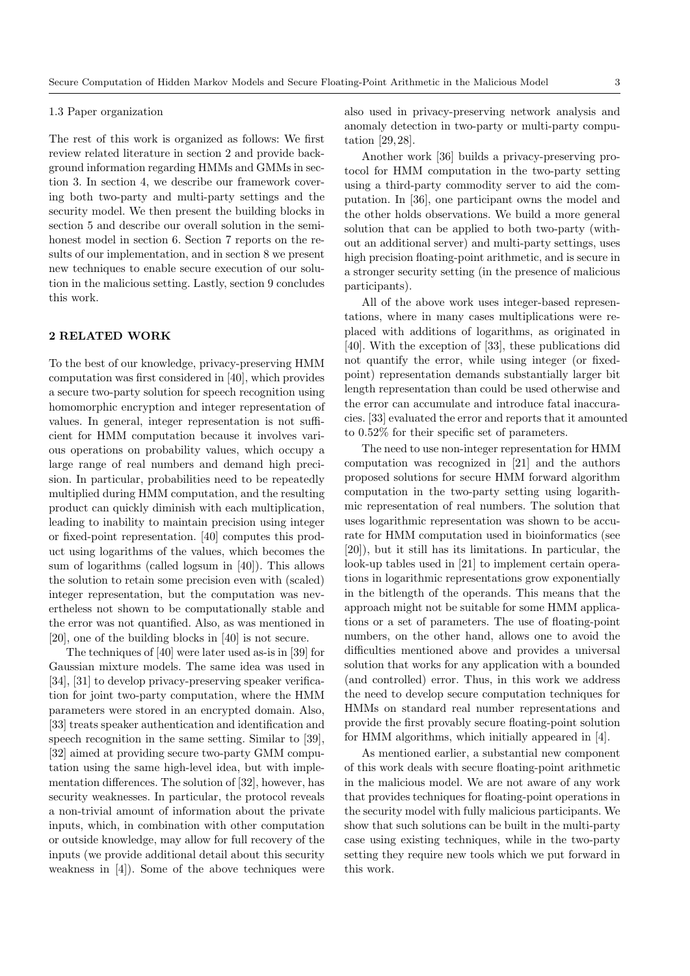#### 1.3 Paper organization

The rest of this work is organized as follows: We first review related literature in section 2 and provide background information regarding HMMs and GMMs in section 3. In section 4, we describe our framework covering both two-party and multi-party settings and the security model. We then present the building blocks in section 5 and describe our overall solution in the semihonest model in section 6. Section 7 reports on the results of our implementation, and in section 8 we present new techniques to enable secure execution of our solution in the malicious setting. Lastly, section 9 concludes this work.

# 2 RELATED WORK

To the best of our knowledge, privacy-preserving HMM computation was first considered in [40], which provides a secure two-party solution for speech recognition using homomorphic encryption and integer representation of values. In general, integer representation is not sufficient for HMM computation because it involves various operations on probability values, which occupy a large range of real numbers and demand high precision. In particular, probabilities need to be repeatedly multiplied during HMM computation, and the resulting product can quickly diminish with each multiplication, leading to inability to maintain precision using integer or fixed-point representation. [40] computes this product using logarithms of the values, which becomes the sum of logarithms (called logsum in [40]). This allows the solution to retain some precision even with (scaled) integer representation, but the computation was nevertheless not shown to be computationally stable and the error was not quantified. Also, as was mentioned in [20], one of the building blocks in [40] is not secure.

The techniques of [40] were later used as-is in [39] for Gaussian mixture models. The same idea was used in [34], [31] to develop privacy-preserving speaker verification for joint two-party computation, where the HMM parameters were stored in an encrypted domain. Also, [33] treats speaker authentication and identification and speech recognition in the same setting. Similar to [39], [32] aimed at providing secure two-party GMM computation using the same high-level idea, but with implementation differences. The solution of [32], however, has security weaknesses. In particular, the protocol reveals a non-trivial amount of information about the private inputs, which, in combination with other computation or outside knowledge, may allow for full recovery of the inputs (we provide additional detail about this security weakness in [4]). Some of the above techniques were also used in privacy-preserving network analysis and anomaly detection in two-party or multi-party computation [29, 28].

Another work [36] builds a privacy-preserving protocol for HMM computation in the two-party setting using a third-party commodity server to aid the computation. In [36], one participant owns the model and the other holds observations. We build a more general solution that can be applied to both two-party (without an additional server) and multi-party settings, uses high precision floating-point arithmetic, and is secure in a stronger security setting (in the presence of malicious participants).

All of the above work uses integer-based representations, where in many cases multiplications were replaced with additions of logarithms, as originated in [40]. With the exception of [33], these publications did not quantify the error, while using integer (or fixedpoint) representation demands substantially larger bit length representation than could be used otherwise and the error can accumulate and introduce fatal inaccuracies. [33] evaluated the error and reports that it amounted to 0.52% for their specific set of parameters.

The need to use non-integer representation for HMM computation was recognized in [21] and the authors proposed solutions for secure HMM forward algorithm computation in the two-party setting using logarithmic representation of real numbers. The solution that uses logarithmic representation was shown to be accurate for HMM computation used in bioinformatics (see [20]), but it still has its limitations. In particular, the look-up tables used in [21] to implement certain operations in logarithmic representations grow exponentially in the bitlength of the operands. This means that the approach might not be suitable for some HMM applications or a set of parameters. The use of floating-point numbers, on the other hand, allows one to avoid the difficulties mentioned above and provides a universal solution that works for any application with a bounded (and controlled) error. Thus, in this work we address the need to develop secure computation techniques for HMMs on standard real number representations and provide the first provably secure floating-point solution for HMM algorithms, which initially appeared in [4].

As mentioned earlier, a substantial new component of this work deals with secure floating-point arithmetic in the malicious model. We are not aware of any work that provides techniques for floating-point operations in the security model with fully malicious participants. We show that such solutions can be built in the multi-party case using existing techniques, while in the two-party setting they require new tools which we put forward in this work.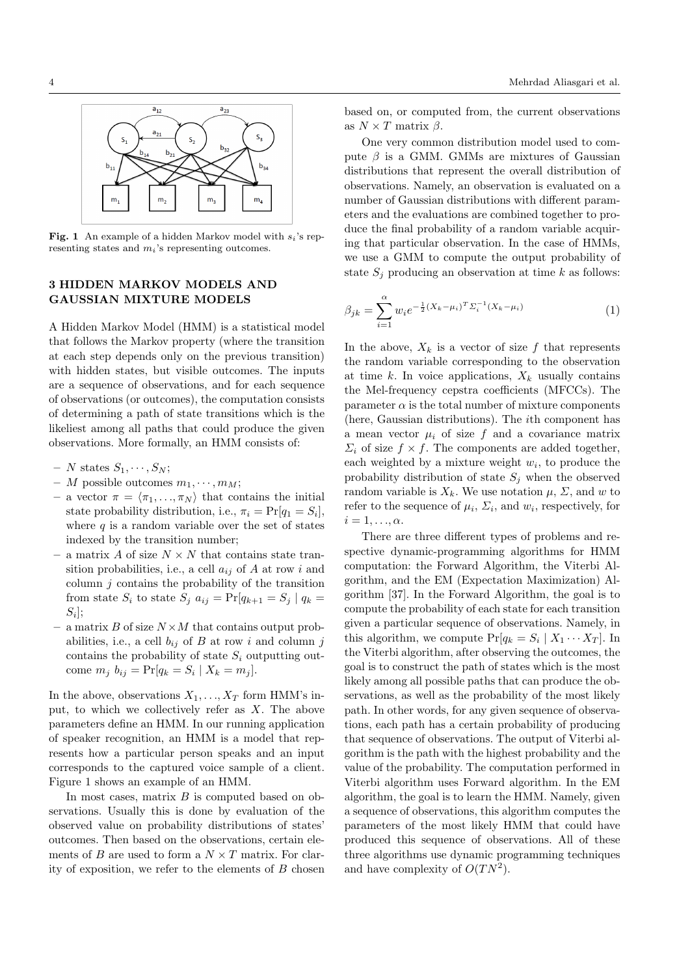

Fig. 1 An example of a hidden Markov model with  $s_i$ 's representing states and  $m_i$ 's representing outcomes.

# 3 HIDDEN MARKOV MODELS AND GAUSSIAN MIXTURE MODELS

A Hidden Markov Model (HMM) is a statistical model that follows the Markov property (where the transition at each step depends only on the previous transition) with hidden states, but visible outcomes. The inputs are a sequence of observations, and for each sequence of observations (or outcomes), the computation consists of determining a path of state transitions which is the likeliest among all paths that could produce the given observations. More formally, an HMM consists of:

- $N$  states  $S_1, \cdots, S_N;$
- M possible outcomes  $m_1, \dots, m_M$ ;
- a vector  $\pi = \langle \pi_1, \ldots, \pi_N \rangle$  that contains the initial state probability distribution, i.e.,  $\pi_i = \Pr[q_1 = S_i],$ where  $q$  is a random variable over the set of states indexed by the transition number;
- a matrix A of size  $N \times N$  that contains state transition probabilities, i.e., a cell  $a_{ij}$  of A at row i and column  $j$  contains the probability of the transition from state  $S_i$  to state  $S_j$   $a_{ij} = \Pr[q_{k+1} = S_j | q_k =$  $S_i];$
- a matrix B of size  $N \times M$  that contains output probabilities, i.e., a cell  $b_{ij}$  of B at row i and column j contains the probability of state  $S_i$  outputting outcome  $m_j b_{ij} = Pr[q_k = S_i | X_k = m_j].$

In the above, observations  $X_1, \ldots, X_T$  form HMM's input, to which we collectively refer as  $X$ . The above parameters define an HMM. In our running application of speaker recognition, an HMM is a model that represents how a particular person speaks and an input corresponds to the captured voice sample of a client. Figure 1 shows an example of an HMM.

In most cases, matrix  $B$  is computed based on observations. Usually this is done by evaluation of the observed value on probability distributions of states' outcomes. Then based on the observations, certain elements of B are used to form a  $N \times T$  matrix. For clarity of exposition, we refer to the elements of  $B$  chosen based on, or computed from, the current observations as  $N \times T$  matrix  $\beta$ .

One very common distribution model used to compute  $\beta$  is a GMM. GMMs are mixtures of Gaussian distributions that represent the overall distribution of observations. Namely, an observation is evaluated on a number of Gaussian distributions with different parameters and the evaluations are combined together to produce the final probability of a random variable acquiring that particular observation. In the case of HMMs, we use a GMM to compute the output probability of state  $S_i$  producing an observation at time k as follows:

$$
\beta_{jk} = \sum_{i=1}^{\alpha} w_i e^{-\frac{1}{2}(X_k - \mu_i)^T \Sigma_i^{-1} (X_k - \mu_i)}
$$
(1)

In the above,  $X_k$  is a vector of size f that represents the random variable corresponding to the observation at time k. In voice applications,  $X_k$  usually contains the Mel-frequency cepstra coefficients (MFCCs). The parameter  $\alpha$  is the total number of mixture components (here, Gaussian distributions). The ith component has a mean vector  $\mu_i$  of size f and a covariance matrix  $\Sigma_i$  of size  $f \times f$ . The components are added together, each weighted by a mixture weight  $w_i$ , to produce the probability distribution of state  $S_i$  when the observed random variable is  $X_k$ . We use notation  $\mu$ ,  $\Sigma$ , and w to refer to the sequence of  $\mu_i$ ,  $\Sigma_i$ , and  $w_i$ , respectively, for  $i = 1, \ldots, \alpha$ .

There are three different types of problems and respective dynamic-programming algorithms for HMM computation: the Forward Algorithm, the Viterbi Algorithm, and the EM (Expectation Maximization) Algorithm [37]. In the Forward Algorithm, the goal is to compute the probability of each state for each transition given a particular sequence of observations. Namely, in this algorithm, we compute  $Pr[q_k = S_i | X_1 \cdots X_T]$ . In the Viterbi algorithm, after observing the outcomes, the goal is to construct the path of states which is the most likely among all possible paths that can produce the observations, as well as the probability of the most likely path. In other words, for any given sequence of observations, each path has a certain probability of producing that sequence of observations. The output of Viterbi algorithm is the path with the highest probability and the value of the probability. The computation performed in Viterbi algorithm uses Forward algorithm. In the EM algorithm, the goal is to learn the HMM. Namely, given a sequence of observations, this algorithm computes the parameters of the most likely HMM that could have produced this sequence of observations. All of these three algorithms use dynamic programming techniques and have complexity of  $O(TN^2)$ .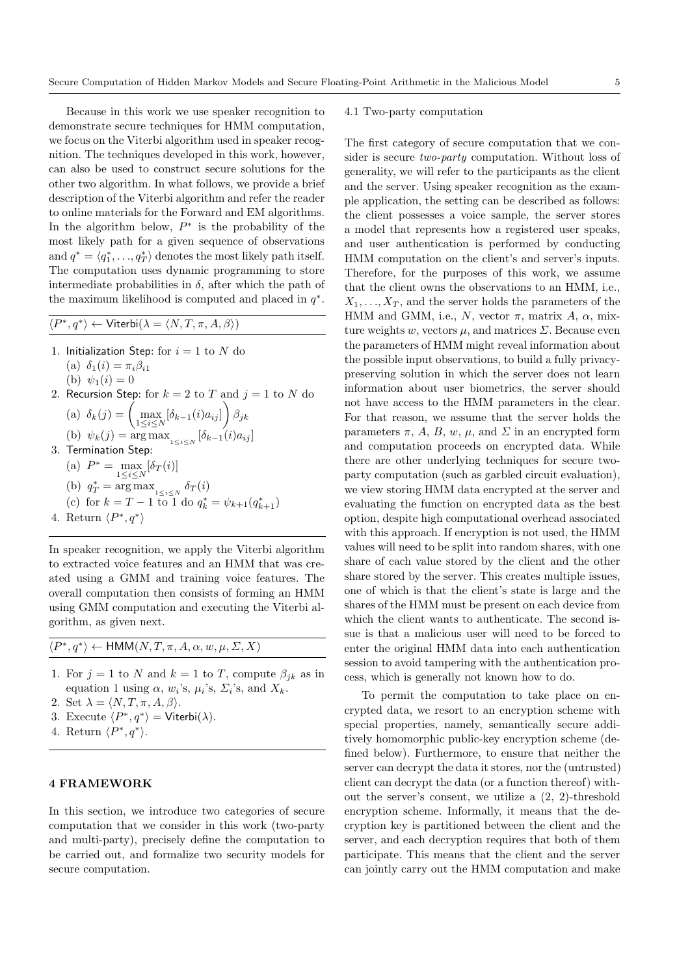Because in this work we use speaker recognition to demonstrate secure techniques for HMM computation, we focus on the Viterbi algorithm used in speaker recognition. The techniques developed in this work, however, can also be used to construct secure solutions for the other two algorithm. In what follows, we provide a brief description of the Viterbi algorithm and refer the reader to online materials for the Forward and EM algorithms. In the algorithm below,  $P^*$  is the probability of the most likely path for a given sequence of observations and  $q^* = \langle q_1^*, \ldots, q_T^* \rangle$  denotes the most likely path itself. The computation uses dynamic programming to store intermediate probabilities in  $\delta$ , after which the path of the maximum likelihood is computed and placed in  $q^*$ .

|  |  | $\langle P^*,q^*\rangle \leftarrow \mathsf{Viterbi}(\lambda = \langle N,T,\pi,A,\beta\rangle)$ |  |
|--|--|------------------------------------------------------------------------------------------------|--|
|--|--|------------------------------------------------------------------------------------------------|--|

1. Initialization Step: for  $i = 1$  to N do

(a)  $\delta_1(i) = \pi_i \beta_{i1}$ 

(b)  $\psi_1(i) = 0$ 

- 2. Recursion Step: for  $k = 2$  to T and  $j = 1$  to N do (a)  $\delta_k(j) = \left( \max_{1 \leq i \leq N} [\delta_{k-1}(i)a_{ij}] \right) \beta_{jk}$ 
	- (b)  $\psi_k(j) = \arg \max_{1 \le i \le N} [\delta_{k-1}(i)a_{ij}]$

3. Termination Step:

- (a)  $P^* = \max_{1 \le i \le N} [\delta_T(i)]$
- (b)  $q_T^* = \arg \max$

(b) 
$$
q_T^* = \arg \max_{1 \le i \le N} \delta_T(i)
$$
  
(c) for  $k = T - 1$  to 1 do  $q_k^* = \psi_{k+1}(q_{k+1}^*)$ 

$$
D_{\text{down}} / D^* \times
$$

4. Return  $\langle P^*, q^* \rangle$ 

In speaker recognition, we apply the Viterbi algorithm to extracted voice features and an HMM that was created using a GMM and training voice features. The overall computation then consists of forming an HMM using GMM computation and executing the Viterbi algorithm, as given next.

$$
\langle P^*,q^*\rangle\leftarrow \mathsf{HMM}(N,T,\pi,A,\alpha,w,\mu,\varSigma,X)
$$

- 1. For  $j = 1$  to N and  $k = 1$  to T, compute  $\beta_{jk}$  as in equation 1 using  $\alpha$ ,  $w_i$ 's,  $\mu_i$ 's,  $\Sigma_i$ 's, and  $X_k$ .
- 2. Set  $\lambda = \langle N, T, \pi, A, \beta \rangle$ .
- 3. Execute  $\langle P^*, q^* \rangle$  = Viterbi( $\lambda$ ).
- 4. Return  $\langle P^*, q^* \rangle$ .

### 4 FRAMEWORK

In this section, we introduce two categories of secure computation that we consider in this work (two-party and multi-party), precisely define the computation to be carried out, and formalize two security models for secure computation.

#### 4.1 Two-party computation

The first category of secure computation that we consider is secure two-party computation. Without loss of generality, we will refer to the participants as the client and the server. Using speaker recognition as the example application, the setting can be described as follows: the client possesses a voice sample, the server stores a model that represents how a registered user speaks, and user authentication is performed by conducting HMM computation on the client's and server's inputs. Therefore, for the purposes of this work, we assume that the client owns the observations to an HMM, i.e.,  $X_1, \ldots, X_T$ , and the server holds the parameters of the HMM and GMM, i.e.,  $N$ , vector  $\pi$ , matrix  $A$ ,  $\alpha$ , mixture weights w, vectors  $\mu$ , and matrices  $\Sigma$ . Because even the parameters of HMM might reveal information about the possible input observations, to build a fully privacypreserving solution in which the server does not learn information about user biometrics, the server should not have access to the HMM parameters in the clear. For that reason, we assume that the server holds the parameters  $\pi$ , A, B, w,  $\mu$ , and  $\Sigma$  in an encrypted form and computation proceeds on encrypted data. While there are other underlying techniques for secure twoparty computation (such as garbled circuit evaluation), we view storing HMM data encrypted at the server and evaluating the function on encrypted data as the best option, despite high computational overhead associated with this approach. If encryption is not used, the HMM values will need to be split into random shares, with one share of each value stored by the client and the other share stored by the server. This creates multiple issues, one of which is that the client's state is large and the shares of the HMM must be present on each device from which the client wants to authenticate. The second issue is that a malicious user will need to be forced to enter the original HMM data into each authentication session to avoid tampering with the authentication process, which is generally not known how to do.

To permit the computation to take place on encrypted data, we resort to an encryption scheme with special properties, namely, semantically secure additively homomorphic public-key encryption scheme (defined below). Furthermore, to ensure that neither the server can decrypt the data it stores, nor the (untrusted) client can decrypt the data (or a function thereof) without the server's consent, we utilize a (2, 2)-threshold encryption scheme. Informally, it means that the decryption key is partitioned between the client and the server, and each decryption requires that both of them participate. This means that the client and the server can jointly carry out the HMM computation and make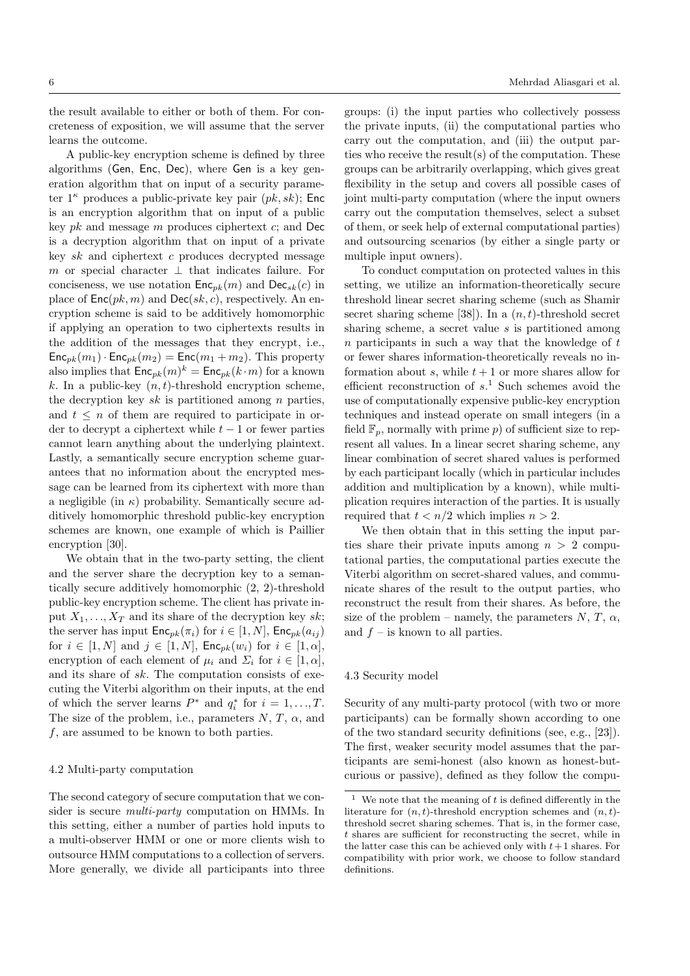the result available to either or both of them. For concreteness of exposition, we will assume that the server learns the outcome.

A public-key encryption scheme is defined by three algorithms (Gen, Enc, Dec), where Gen is a key generation algorithm that on input of a security parameter  $1^{\kappa}$  produces a public-private key pair  $(pk, sk)$ : Enc is an encryption algorithm that on input of a public key  $pk$  and message  $m$  produces ciphertext  $c$ ; and Dec is a decryption algorithm that on input of a private key sk and ciphertext c produces decrypted message m or special character  $\perp$  that indicates failure. For conciseness, we use notation  $\mathsf{Enc}_{pk}(m)$  and  $\mathsf{Dec}_{sk}(c)$  in place of  $Enc(pk, m)$  and  $Dec(sk, c)$ , respectively. An encryption scheme is said to be additively homomorphic if applying an operation to two ciphertexts results in the addition of the messages that they encrypt, i.e.,  $\mathsf{Enc}_{pk}(m_1) \cdot \mathsf{Enc}_{pk}(m_2) = \mathsf{Enc}(m_1 + m_2)$ . This property also implies that  $\mathsf{Enc}_{pk}(m)^k = \mathsf{Enc}_{pk}(k \cdot m)$  for a known k. In a public-key  $(n, t)$ -threshold encryption scheme, the decryption key sk is partitioned among n parties, and  $t \leq n$  of them are required to participate in order to decrypt a ciphertext while  $t-1$  or fewer parties cannot learn anything about the underlying plaintext. Lastly, a semantically secure encryption scheme guarantees that no information about the encrypted message can be learned from its ciphertext with more than a negligible (in  $\kappa$ ) probability. Semantically secure additively homomorphic threshold public-key encryption schemes are known, one example of which is Paillier encryption [30].

We obtain that in the two-party setting, the client and the server share the decryption key to a semantically secure additively homomorphic (2, 2)-threshold public-key encryption scheme. The client has private input  $X_1, \ldots, X_T$  and its share of the decryption key sk; the server has input  $\mathsf{Enc}_{pk}(\pi_i)$  for  $i \in [1, N]$ ,  $\mathsf{Enc}_{pk}(a_{ij})$ for  $i \in [1, N]$  and  $j \in [1, N]$ ,  $\mathsf{Enc}_{pk}(w_i)$  for  $i \in [1, \alpha]$ , encryption of each element of  $\mu_i$  and  $\Sigma_i$  for  $i \in [1, \alpha]$ , and its share of sk. The computation consists of executing the Viterbi algorithm on their inputs, at the end of which the server learns  $P^*$  and  $q_i^*$  for  $i = 1, ..., T$ . The size of the problem, i.e., parameters  $N, T, \alpha$ , and f, are assumed to be known to both parties.

#### 4.2 Multi-party computation

The second category of secure computation that we consider is secure multi-party computation on HMMs. In this setting, either a number of parties hold inputs to a multi-observer HMM or one or more clients wish to outsource HMM computations to a collection of servers. More generally, we divide all participants into three

groups: (i) the input parties who collectively possess the private inputs, (ii) the computational parties who carry out the computation, and (iii) the output parties who receive the result(s) of the computation. These groups can be arbitrarily overlapping, which gives great flexibility in the setup and covers all possible cases of joint multi-party computation (where the input owners carry out the computation themselves, select a subset of them, or seek help of external computational parties) and outsourcing scenarios (by either a single party or multiple input owners).

To conduct computation on protected values in this setting, we utilize an information-theoretically secure threshold linear secret sharing scheme (such as Shamir secret sharing scheme [38]). In a  $(n, t)$ -threshold secret sharing scheme, a secret value s is partitioned among  $n$  participants in such a way that the knowledge of  $t$ or fewer shares information-theoretically reveals no information about s, while  $t + 1$  or more shares allow for efficient reconstruction of  $s$ <sup>1</sup>. Such schemes avoid the use of computationally expensive public-key encryption techniques and instead operate on small integers (in a field  $\mathbb{F}_p$ , normally with prime p) of sufficient size to represent all values. In a linear secret sharing scheme, any linear combination of secret shared values is performed by each participant locally (which in particular includes addition and multiplication by a known), while multiplication requires interaction of the parties. It is usually required that  $t < n/2$  which implies  $n > 2$ .

We then obtain that in this setting the input parties share their private inputs among  $n > 2$  computational parties, the computational parties execute the Viterbi algorithm on secret-shared values, and communicate shares of the result to the output parties, who reconstruct the result from their shares. As before, the size of the problem – namely, the parameters  $N, T, \alpha$ , and  $f -$  is known to all parties.

#### 4.3 Security model

Security of any multi-party protocol (with two or more participants) can be formally shown according to one of the two standard security definitions (see, e.g., [23]). The first, weaker security model assumes that the participants are semi-honest (also known as honest-butcurious or passive), defined as they follow the compu-

<sup>&</sup>lt;sup>1</sup> We note that the meaning of  $t$  is defined differently in the literature for  $(n, t)$ -threshold encryption schemes and  $(n, t)$ threshold secret sharing schemes. That is, in the former case, t shares are sufficient for reconstructing the secret, while in the latter case this can be achieved only with  $t+1$  shares. For compatibility with prior work, we choose to follow standard definitions.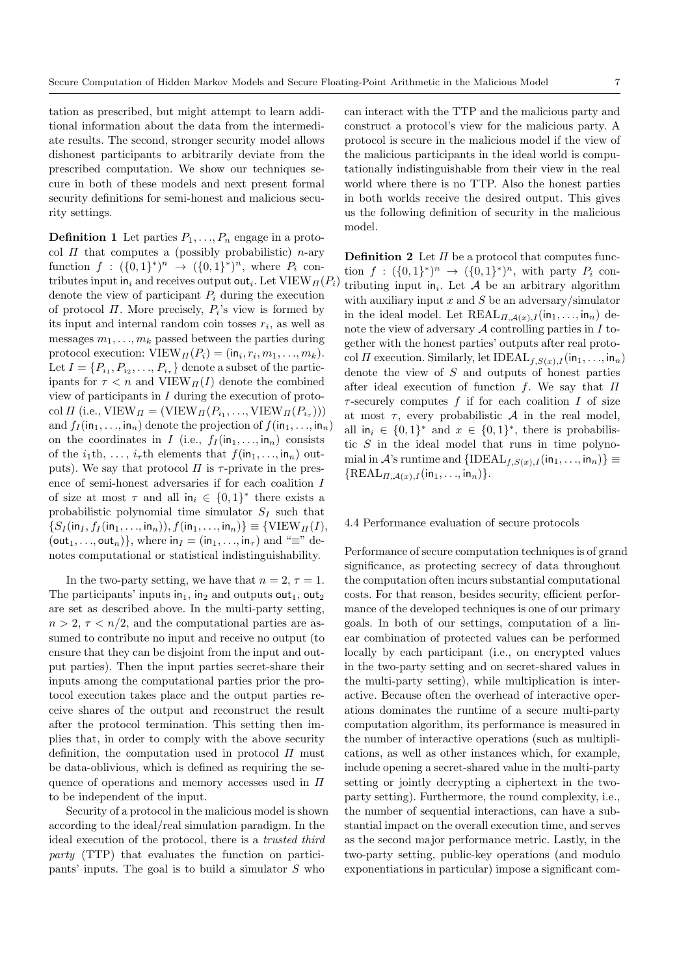tation as prescribed, but might attempt to learn additional information about the data from the intermediate results. The second, stronger security model allows dishonest participants to arbitrarily deviate from the prescribed computation. We show our techniques secure in both of these models and next present formal security definitions for semi-honest and malicious security settings.

**Definition 1** Let parties  $P_1, \ldots, P_n$  engage in a protocol  $\Pi$  that computes a (possibly probabilistic) n-ary function  $f : (\{0,1\}^*)^n \to (\{0,1\}^*)^n$ , where  $P_i$  contributes input in<sub>i</sub> and receives output out<sub>i</sub>. Let  $\mathrm{VIEW}_{\Pi}(P_i)$ denote the view of participant  $P_i$  during the execution of protocol  $\Pi$ . More precisely,  $P_i$ 's view is formed by its input and internal random coin tosses  $r_i$ , as well as messages  $m_1, \ldots, m_k$  passed between the parties during protocol execution:  $VIEW_{\Pi}(P_i) = (in_i, r_i, m_1, \ldots, m_k).$ Let  $I = \{P_{i_1}, P_{i_2}, \ldots, P_{i_{\tau}}\}$  denote a subset of the participants for  $\tau < n$  and VIEW<sub> $\Pi$ </sub>(I) denote the combined view of participants in I during the execution of protocol  $\Pi$  (i.e., VIEW  $\Pi = (\text{VIEW}_{\Pi}(P_{i_1}, \ldots, \text{VIEW}_{\Pi}(P_{i_{\tau}})))$ and  $f_I(in_1, \ldots, in_n)$  denote the projection of  $f(in_1, \ldots, in_n)$ on the coordinates in I (i.e.,  $f_I(\text{in}_1, \ldots, \text{in}_n)$ ) consists of the  $i_1$ th, ...,  $i_{\tau}$ th elements that  $f(in_1, \ldots, in_n)$  outputs). We say that protocol  $\Pi$  is  $\tau$ -private in the presence of semi-honest adversaries if for each coalition I of size at most  $\tau$  and all  $\mathsf{in}_i \in \{0,1\}^*$  there exists a probabilistic polynomial time simulator  $S_I$  such that  $\{S_I(\mathsf{in}_I, f_I(\mathsf{in}_1, \dots, \mathsf{in}_n)), f(\mathsf{in}_1, \dots, \mathsf{in}_n)\} \equiv \{\text{VIEW}_{\Pi}(I),\}$ (out<sub>1</sub>, ..., out<sub>n</sub>)}, where  $\text{in}_I = (\text{in}_1, \ldots, \text{in}_\tau)$  and " $\equiv$ " denotes computational or statistical indistinguishability.

In the two-party setting, we have that  $n = 2, \tau = 1$ . The participants' inputs  $in_1$ ,  $in_2$  and outputs out<sub>1</sub>, out<sub>2</sub> are set as described above. In the multi-party setting,  $n > 2, \tau < n/2$ , and the computational parties are assumed to contribute no input and receive no output (to ensure that they can be disjoint from the input and output parties). Then the input parties secret-share their inputs among the computational parties prior the protocol execution takes place and the output parties receive shares of the output and reconstruct the result after the protocol termination. This setting then implies that, in order to comply with the above security definition, the computation used in protocol  $\Pi$  must be data-oblivious, which is defined as requiring the sequence of operations and memory accesses used in  $\Pi$ to be independent of the input.

Security of a protocol in the malicious model is shown according to the ideal/real simulation paradigm. In the ideal execution of the protocol, there is a trusted third party (TTP) that evaluates the function on participants' inputs. The goal is to build a simulator  $S$  who

can interact with the TTP and the malicious party and construct a protocol's view for the malicious party. A protocol is secure in the malicious model if the view of the malicious participants in the ideal world is computationally indistinguishable from their view in the real world where there is no TTP. Also the honest parties in both worlds receive the desired output. This gives us the following definition of security in the malicious model.

**Definition 2** Let  $\Pi$  be a protocol that computes function  $f: (\{0,1\}^*)^n \to (\{0,1\}^*)^n$ , with party  $P_i$  contributing input in<sub>i</sub>. Let  $A$  be an arbitrary algorithm with auxiliary input  $x$  and  $S$  be an adversary/simulator in the ideal model. Let  $REAL_{\Pi,\mathcal{A}(x),I}(\mathsf{in}_1,\ldots,\mathsf{in}_n)$  denote the view of adversary  $A$  controlling parties in  $I$  together with the honest parties' outputs after real protocol *Π* execution. Similarly, let  $IDEAL_{f,S(x),I}(\mathsf{in}_1, \ldots, \mathsf{in}_n)$ denote the view of  $S$  and outputs of honest parties after ideal execution of function  $f$ . We say that  $\Pi$  $\tau$ -securely computes f if for each coalition I of size at most  $\tau$ , every probabilistic  $\mathcal A$  in the real model, all  $in_i \in \{0,1\}^*$  and  $x \in \{0,1\}^*$ , there is probabilistic  $S$  in the ideal model that runs in time polynomial in A's runtime and  $\{IDEAL_{f,S(x),I}(\text{in}_1, \ldots, \text{in}_n)\}\equiv$  $\{\text{REAL}_{\Pi,\mathcal{A}(x),I}(\text{in}_1,\ldots,\text{in}_n)\}.$ 

#### 4.4 Performance evaluation of secure protocols

Performance of secure computation techniques is of grand significance, as protecting secrecy of data throughout the computation often incurs substantial computational costs. For that reason, besides security, efficient performance of the developed techniques is one of our primary goals. In both of our settings, computation of a linear combination of protected values can be performed locally by each participant (i.e., on encrypted values in the two-party setting and on secret-shared values in the multi-party setting), while multiplication is interactive. Because often the overhead of interactive operations dominates the runtime of a secure multi-party computation algorithm, its performance is measured in the number of interactive operations (such as multiplications, as well as other instances which, for example, include opening a secret-shared value in the multi-party setting or jointly decrypting a ciphertext in the twoparty setting). Furthermore, the round complexity, i.e., the number of sequential interactions, can have a substantial impact on the overall execution time, and serves as the second major performance metric. Lastly, in the two-party setting, public-key operations (and modulo exponentiations in particular) impose a significant com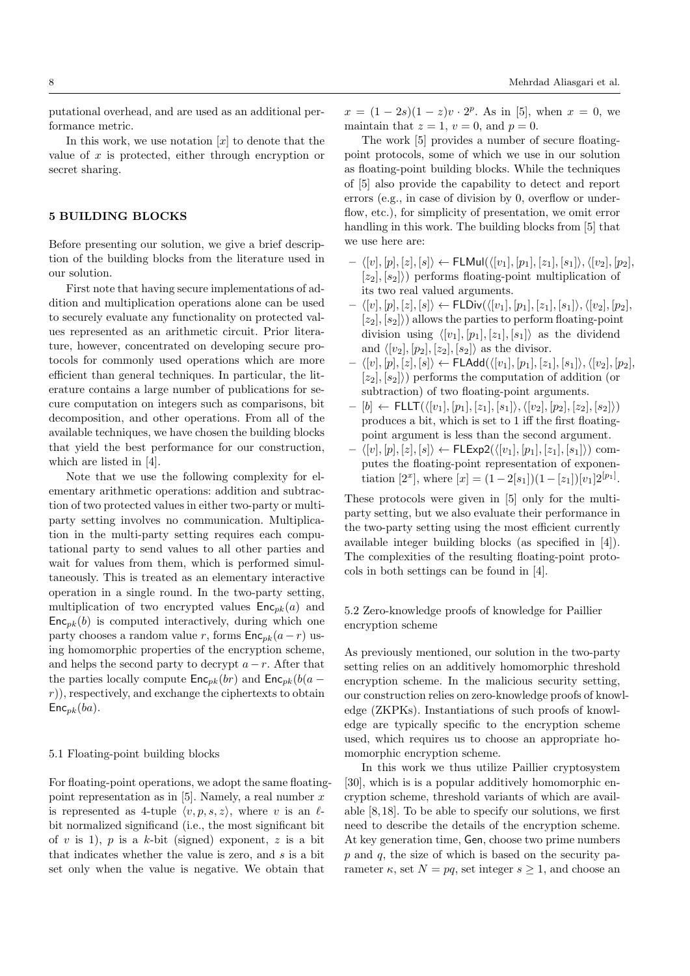putational overhead, and are used as an additional performance metric.

In this work, we use notation  $[x]$  to denote that the value of  $x$  is protected, either through encryption or secret sharing.

#### 5 BUILDING BLOCKS

Before presenting our solution, we give a brief description of the building blocks from the literature used in our solution.

First note that having secure implementations of addition and multiplication operations alone can be used to securely evaluate any functionality on protected values represented as an arithmetic circuit. Prior literature, however, concentrated on developing secure protocols for commonly used operations which are more efficient than general techniques. In particular, the literature contains a large number of publications for secure computation on integers such as comparisons, bit decomposition, and other operations. From all of the available techniques, we have chosen the building blocks that yield the best performance for our construction, which are listed in [4].

Note that we use the following complexity for elementary arithmetic operations: addition and subtraction of two protected values in either two-party or multiparty setting involves no communication. Multiplication in the multi-party setting requires each computational party to send values to all other parties and wait for values from them, which is performed simultaneously. This is treated as an elementary interactive operation in a single round. In the two-party setting, multiplication of two encrypted values  $\mathsf{Enc}_{pk}(a)$  and  $Enc<sub>pk</sub>(b)$  is computed interactively, during which one party chooses a random value r, forms  $\mathsf{Enc}_{pk}(a-r)$  using homomorphic properties of the encryption scheme, and helps the second party to decrypt  $a - r$ . After that the parties locally compute  $\mathsf{Enc}_{nk}(br)$  and  $\mathsf{Enc}_{nk}(b(a$  $r)$ , respectively, and exchange the ciphertexts to obtain  $Enc_{pk}(ba)$ .

### 5.1 Floating-point building blocks

For floating-point operations, we adopt the same floatingpoint representation as in  $[5]$ . Namely, a real number x is represented as 4-tuple  $\langle v, p, s, z \rangle$ , where v is an  $\ell$ bit normalized significand (i.e., the most significant bit of v is 1), p is a k-bit (signed) exponent, z is a bit that indicates whether the value is zero, and  $s$  is a bit set only when the value is negative. We obtain that

 $x = (1 - 2s)(1 - z)v \cdot 2^p$ . As in [5], when  $x = 0$ , we

maintain that  $z = 1$ ,  $v = 0$ , and  $p = 0$ . The work [5] provides a number of secure floatingpoint protocols, some of which we use in our solution as floating-point building blocks. While the techniques of [5] also provide the capability to detect and report errors (e.g., in case of division by 0, overflow or underflow, etc.), for simplicity of presentation, we omit error handling in this work. The building blocks from [5] that we use here are:

- $\langle [v], [p], [z], [s] \rangle$  ← FLMul $(\langle [v_1], [p_1], [z_1], [s_1] \rangle, \langle [v_2], [p_2],$  $[z_2], [s_2]\rangle$  performs floating-point multiplication of its two real valued arguments.
- $\langle [v], [p], [z], [s] \rangle \leftarrow \mathsf{FLDiv}(\langle [v_1], [p_1], [z_1], [s_1] \rangle, \langle [v_2], [p_2],$  $[z_2], [s_2]\rangle$  allows the parties to perform floating-point division using  $\langle [v_1], [p_1], [z_1], [s_1] \rangle$  as the dividend and  $\langle [v_2], [p_2], [z_2], [s_2] \rangle$  as the divisor.
- $\langle [v], [p], [z], [s] \rangle$  ← FLAdd $(\langle [v_1], [p_1], [z_1], [s_1] \rangle, \langle [v_2], [p_2],$  $[z_2], [s_2]\rangle$ ) performs the computation of addition (or subtraction) of two floating-point arguments.
- $-$  [b] ← FLLT( $\langle [v_1], [p_1], [z_1], [s_1] \rangle, \langle [v_2], [p_2], [z_2], [s_2] \rangle)$ produces a bit, which is set to 1 iff the first floatingpoint argument is less than the second argument.
- $\langle [v], [p], [z], [s] \rangle \leftarrow$  FLExp2( $\langle [v_1], [p_1], [z_1], [s_1] \rangle$ ) computes the floating-point representation of exponentiation [2<sup>x</sup>], where  $[x] = (1 - 2[s_1])(1 - [z_1])[v_1]2^{[p_1]}$ .

These protocols were given in [5] only for the multiparty setting, but we also evaluate their performance in the two-party setting using the most efficient currently available integer building blocks (as specified in [4]). The complexities of the resulting floating-point protocols in both settings can be found in [4].

### 5.2 Zero-knowledge proofs of knowledge for Paillier encryption scheme

As previously mentioned, our solution in the two-party setting relies on an additively homomorphic threshold encryption scheme. In the malicious security setting, our construction relies on zero-knowledge proofs of knowledge (ZKPKs). Instantiations of such proofs of knowledge are typically specific to the encryption scheme used, which requires us to choose an appropriate homomorphic encryption scheme.

In this work we thus utilize Paillier cryptosystem [30], which is is a popular additively homomorphic encryption scheme, threshold variants of which are available [8, 18]. To be able to specify our solutions, we first need to describe the details of the encryption scheme. At key generation time, Gen, choose two prime numbers  $p$  and  $q$ , the size of which is based on the security parameter  $\kappa$ , set  $N = pq$ , set integer  $s \geq 1$ , and choose an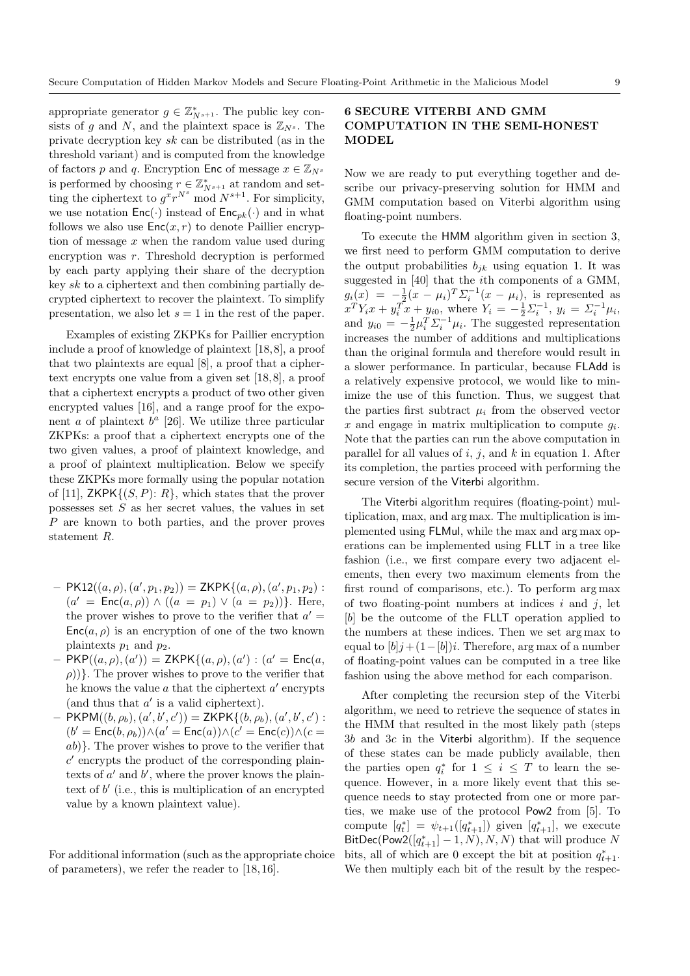appropriate generator  $g \in \mathbb{Z}_{N^{s+1}}^*$ . The public key consists of g and N, and the plaintext space is  $\mathbb{Z}_{N^s}$ . The private decryption key sk can be distributed (as in the threshold variant) and is computed from the knowledge of factors p and q. Encryption Enc of message  $x \in \mathbb{Z}_{N^s}$ is performed by choosing  $r \in \mathbb{Z}_{N^{s+1}}^*$  at random and setting the ciphertext to  $g^x r^{N^s}$  mod  $N^{s+1}$ . For simplicity, we use notation  $Enc(\cdot)$  instead of  $Enc_{nk}(\cdot)$  and in what follows we also use  $Enc(x, r)$  to denote Paillier encryption of message  $x$  when the random value used during encryption was r. Threshold decryption is performed by each party applying their share of the decryption key  $sk$  to a ciphertext and then combining partially decrypted ciphertext to recover the plaintext. To simplify presentation, we also let  $s = 1$  in the rest of the paper.

Examples of existing ZKPKs for Paillier encryption include a proof of knowledge of plaintext [18, 8], a proof that two plaintexts are equal [8], a proof that a ciphertext encrypts one value from a given set [18, 8], a proof that a ciphertext encrypts a product of two other given encrypted values [16], and a range proof for the exponent a of plaintext  $b^a$  [26]. We utilize three particular ZKPKs: a proof that a ciphertext encrypts one of the two given values, a proof of plaintext knowledge, and a proof of plaintext multiplication. Below we specify these ZKPKs more formally using the popular notation of [11],  $ZKPK{(S, P): R}$ , which states that the prover possesses set S as her secret values, the values in set P are known to both parties, and the prover proves statement R.

- $-PK12((a, p), (a', p_1, p_2)) = ZKPK{(a, \rho), (a', p_1, p_2)}$ :  $(a' = \text{Enc}(a, \rho)) \wedge ((a = p_1) \vee (a = p_2))$ . Here, the prover wishes to prove to the verifier that  $a' =$  $Enc(a, \rho)$  is an encryption of one of the two known plaintexts  $p_1$  and  $p_2$ .
- $-PKP((a, \rho), (a')) = ZKPK{(a, \rho), (a')} : (a' = Enc(a,$  $\rho$ )). The prover wishes to prove to the verifier that he knows the value  $a$  that the ciphertext  $a'$  encrypts (and thus that  $a'$  is a valid ciphertext).
- $-$  PKPM $((b, \rho_b), (a', b', c')) =$  ZKPK $\{(b, \rho_b), (a', b', c')$ :  $(b' = \mathsf{Enc}(b, \rho_b)) \wedge (a' = \mathsf{Enc}(a)) \wedge (c' = \mathsf{Enc}(c)) \wedge (c =$ ab)}. The prover wishes to prove to the verifier that  $c'$  encrypts the product of the corresponding plaintexts of  $a'$  and  $b'$ , where the prover knows the plaintext of  $b'$  (i.e., this is multiplication of an encrypted value by a known plaintext value).

For additional information (such as the appropriate choice of parameters), we refer the reader to [18, 16].

# 6 SECURE VITERBI AND GMM COMPUTATION IN THE SEMI-HONEST MODEL

Now we are ready to put everything together and describe our privacy-preserving solution for HMM and GMM computation based on Viterbi algorithm using floating-point numbers.

To execute the HMM algorithm given in section 3, we first need to perform GMM computation to derive the output probabilities  $b_{jk}$  using equation 1. It was suggested in [40] that the ith components of a GMM,  $g_i(x) = -\frac{1}{2}(x - \mu_i)^T \Sigma_i^{-1}(x - \mu_i)$ , is represented as  $x^T Y_i x + y_i^T x + y_{i0}$ , where  $Y_i = -\frac{1}{2} \Sigma_i^{-1}$ ,  $y_i = \Sigma_i^{-1} \mu_i$ , and  $y_{i0} = -\frac{1}{2}\mu_i^T \Sigma_i^{-1} \mu_i$ . The suggested representation increases the number of additions and multiplications than the original formula and therefore would result in a slower performance. In particular, because FLAdd is a relatively expensive protocol, we would like to minimize the use of this function. Thus, we suggest that the parties first subtract  $\mu_i$  from the observed vector x and engage in matrix multiplication to compute  $g_i$ . Note that the parties can run the above computation in parallel for all values of  $i, j$ , and  $k$  in equation 1. After its completion, the parties proceed with performing the secure version of the Viterbi algorithm.

The Viterbi algorithm requires (floating-point) multiplication, max, and arg max. The multiplication is implemented using FLMul, while the max and arg max operations can be implemented using FLLT in a tree like fashion (i.e., we first compare every two adjacent elements, then every two maximum elements from the first round of comparisons, etc.). To perform arg max of two floating-point numbers at indices  $i$  and  $j$ , let [b] be the outcome of the FLLT operation applied to the numbers at these indices. Then we set arg max to equal to  $[b]$ j +  $(1-[b])$ i. Therefore, arg max of a number of floating-point values can be computed in a tree like fashion using the above method for each comparison.

After completing the recursion step of the Viterbi algorithm, we need to retrieve the sequence of states in the HMM that resulted in the most likely path (steps  $3b$  and  $3c$  in the Viterbi algorithm). If the sequence of these states can be made publicly available, then the parties open  $q_i^*$  for  $1 \leq i \leq T$  to learn the sequence. However, in a more likely event that this sequence needs to stay protected from one or more parties, we make use of the protocol Pow2 from [5]. To compute  $[q_t^*] = \psi_{t+1}([q_{t+1}^*])$  given  $[q_{t+1}^*]$ , we execute BitDec(Pow2( $[q_{t+1}^*] - 1, N$ ), N, N) that will produce N bits, all of which are 0 except the bit at position  $q_{t+1}^*$ . We then multiply each bit of the result by the respec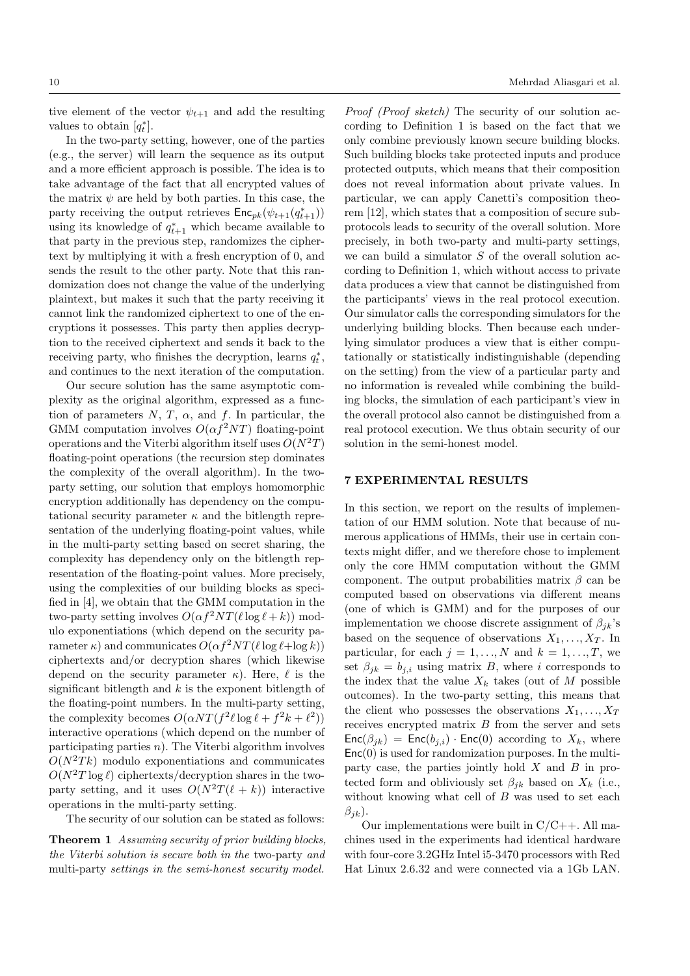tive element of the vector  $\psi_{t+1}$  and add the resulting values to obtain  $[q_t^*]$ .

In the two-party setting, however, one of the parties (e.g., the server) will learn the sequence as its output and a more efficient approach is possible. The idea is to take advantage of the fact that all encrypted values of the matrix  $\psi$  are held by both parties. In this case, the party receiving the output retrieves  $\mathsf{Enc}_{pk}(\psi_{t+1}(q_{t+1}^*))$ using its knowledge of  $q_{t+1}^*$  which became available to that party in the previous step, randomizes the ciphertext by multiplying it with a fresh encryption of 0, and sends the result to the other party. Note that this randomization does not change the value of the underlying plaintext, but makes it such that the party receiving it cannot link the randomized ciphertext to one of the encryptions it possesses. This party then applies decryption to the received ciphertext and sends it back to the receiving party, who finishes the decryption, learns  $q_t^*$ , and continues to the next iteration of the computation.

Our secure solution has the same asymptotic complexity as the original algorithm, expressed as a function of parameters  $N, T, \alpha$ , and f. In particular, the GMM computation involves  $O(\alpha f^2 NT)$  floating-point operations and the Viterbi algorithm itself uses  $O(N^2T)$ floating-point operations (the recursion step dominates the complexity of the overall algorithm). In the twoparty setting, our solution that employs homomorphic encryption additionally has dependency on the computational security parameter  $\kappa$  and the bitlength representation of the underlying floating-point values, while in the multi-party setting based on secret sharing, the complexity has dependency only on the bitlength representation of the floating-point values. More precisely, using the complexities of our building blocks as specified in [4], we obtain that the GMM computation in the two-party setting involves  $O(\alpha f^2 NT(\ell \log \ell + k))$  modulo exponentiations (which depend on the security parameter  $\kappa$ ) and communicates  $O(\alpha f^2 NT(\ell \log \ell + \log k))$ ciphertexts and/or decryption shares (which likewise depend on the security parameter  $\kappa$ ). Here,  $\ell$  is the significant bitlength and  $k$  is the exponent bitlength of the floating-point numbers. In the multi-party setting, the complexity becomes  $O(\alpha NT(f^2 \ell \log \ell + f^2 k + \ell^2))$ interactive operations (which depend on the number of participating parties  $n$ ). The Viterbi algorithm involves  $O(N^2Tk)$  modulo exponentiations and communicates  $O(N^2T \log \ell)$  ciphertexts/decryption shares in the twoparty setting, and it uses  $O(N^2T(\ell + k))$  interactive operations in the multi-party setting.

The security of our solution can be stated as follows:

Theorem 1 Assuming security of prior building blocks, the Viterbi solution is secure both in the two-party and multi-party settings in the semi-honest security model.

Proof (Proof sketch) The security of our solution according to Definition 1 is based on the fact that we only combine previously known secure building blocks. Such building blocks take protected inputs and produce protected outputs, which means that their composition does not reveal information about private values. In particular, we can apply Canetti's composition theorem [12], which states that a composition of secure subprotocols leads to security of the overall solution. More precisely, in both two-party and multi-party settings, we can build a simulator S of the overall solution according to Definition 1, which without access to private data produces a view that cannot be distinguished from the participants' views in the real protocol execution. Our simulator calls the corresponding simulators for the underlying building blocks. Then because each underlying simulator produces a view that is either computationally or statistically indistinguishable (depending on the setting) from the view of a particular party and no information is revealed while combining the building blocks, the simulation of each participant's view in the overall protocol also cannot be distinguished from a real protocol execution. We thus obtain security of our solution in the semi-honest model.

#### 7 EXPERIMENTAL RESULTS

In this section, we report on the results of implementation of our HMM solution. Note that because of numerous applications of HMMs, their use in certain contexts might differ, and we therefore chose to implement only the core HMM computation without the GMM component. The output probabilities matrix  $\beta$  can be computed based on observations via different means (one of which is GMM) and for the purposes of our implementation we choose discrete assignment of  $\beta_{ik}$ 's based on the sequence of observations  $X_1, \ldots, X_T$ . In particular, for each  $j = 1, ..., N$  and  $k = 1, ..., T$ , we set  $\beta_{jk} = b_{j,i}$  using matrix B, where i corresponds to the index that the value  $X_k$  takes (out of M possible outcomes). In the two-party setting, this means that the client who possesses the observations  $X_1, \ldots, X_T$ receives encrypted matrix  $B$  from the server and sets  $Enc(\beta_{jk}) = Enc(b_{j,i}) \cdot Enc(0)$  according to  $X_k$ , where  $Enc(0)$  is used for randomization purposes. In the multiparty case, the parties jointly hold  $X$  and  $B$  in protected form and obliviously set  $\beta_{ik}$  based on  $X_k$  (i.e., without knowing what cell of  $B$  was used to set each  $\beta_{jk}$ ).

Our implementations were built in  $C/C++$ . All machines used in the experiments had identical hardware with four-core 3.2GHz Intel i5-3470 processors with Red Hat Linux 2.6.32 and were connected via a 1Gb LAN.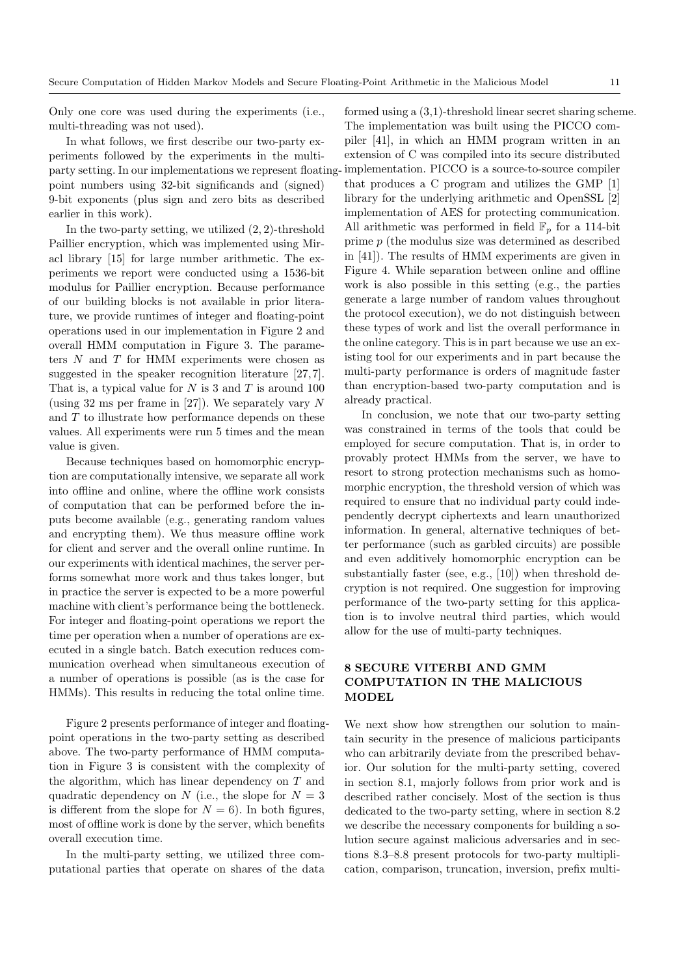Only one core was used during the experiments (i.e., multi-threading was not used).

In what follows, we first describe our two-party experiments followed by the experiments in the multiparty setting. In our implementations we represent floating-implementation. PICCO is a source-to-source compiler point numbers using 32-bit significands and (signed) 9-bit exponents (plus sign and zero bits as described earlier in this work).

In the two-party setting, we utilized  $(2, 2)$ -threshold Paillier encryption, which was implemented using Miracl library [15] for large number arithmetic. The experiments we report were conducted using a 1536-bit modulus for Paillier encryption. Because performance of our building blocks is not available in prior literature, we provide runtimes of integer and floating-point operations used in our implementation in Figure 2 and overall HMM computation in Figure 3. The parameters  $N$  and  $T$  for HMM experiments were chosen as suggested in the speaker recognition literature [27, 7]. That is, a typical value for  $N$  is 3 and  $T$  is around 100 (using 32 ms per frame in [27]). We separately vary  $N$ and T to illustrate how performance depends on these values. All experiments were run 5 times and the mean value is given.

Because techniques based on homomorphic encryption are computationally intensive, we separate all work into offline and online, where the offline work consists of computation that can be performed before the inputs become available (e.g., generating random values and encrypting them). We thus measure offline work for client and server and the overall online runtime. In our experiments with identical machines, the server performs somewhat more work and thus takes longer, but in practice the server is expected to be a more powerful machine with client's performance being the bottleneck. For integer and floating-point operations we report the time per operation when a number of operations are executed in a single batch. Batch execution reduces communication overhead when simultaneous execution of a number of operations is possible (as is the case for HMMs). This results in reducing the total online time.

Figure 2 presents performance of integer and floatingpoint operations in the two-party setting as described above. The two-party performance of HMM computation in Figure 3 is consistent with the complexity of the algorithm, which has linear dependency on T and quadratic dependency on N (i.e., the slope for  $N = 3$ is different from the slope for  $N = 6$ ). In both figures, most of offline work is done by the server, which benefits overall execution time.

In the multi-party setting, we utilized three computational parties that operate on shares of the data formed using a (3,1)-threshold linear secret sharing scheme. The implementation was built using the PICCO compiler [41], in which an HMM program written in an extension of C was compiled into its secure distributed that produces a C program and utilizes the GMP [1] library for the underlying arithmetic and OpenSSL [2] implementation of AES for protecting communication. All arithmetic was performed in field  $\mathbb{F}_p$  for a 114-bit prime p (the modulus size was determined as described in [41]). The results of HMM experiments are given in Figure 4. While separation between online and offline work is also possible in this setting (e.g., the parties generate a large number of random values throughout the protocol execution), we do not distinguish between these types of work and list the overall performance in the online category. This is in part because we use an existing tool for our experiments and in part because the multi-party performance is orders of magnitude faster than encryption-based two-party computation and is already practical.

In conclusion, we note that our two-party setting was constrained in terms of the tools that could be employed for secure computation. That is, in order to provably protect HMMs from the server, we have to resort to strong protection mechanisms such as homomorphic encryption, the threshold version of which was required to ensure that no individual party could independently decrypt ciphertexts and learn unauthorized information. In general, alternative techniques of better performance (such as garbled circuits) are possible and even additively homomorphic encryption can be substantially faster (see, e.g., [10]) when threshold decryption is not required. One suggestion for improving performance of the two-party setting for this application is to involve neutral third parties, which would allow for the use of multi-party techniques.

# 8 SECURE VITERBI AND GMM COMPUTATION IN THE MALICIOUS **MODEL**

We next show how strengthen our solution to maintain security in the presence of malicious participants who can arbitrarily deviate from the prescribed behavior. Our solution for the multi-party setting, covered in section 8.1, majorly follows from prior work and is described rather concisely. Most of the section is thus dedicated to the two-party setting, where in section 8.2 we describe the necessary components for building a solution secure against malicious adversaries and in sections 8.3–8.8 present protocols for two-party multiplication, comparison, truncation, inversion, prefix multi-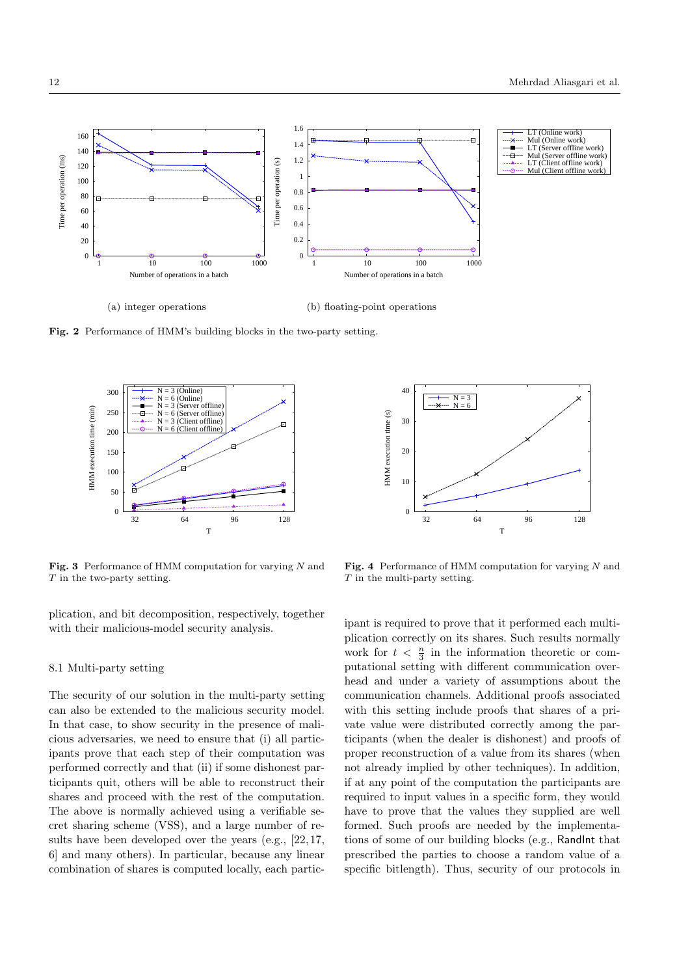

Fig. 2 Performance of HMM's building blocks in the two-party setting.



Fig. 3 Performance of HMM computation for varying  $N$  and T in the two-party setting.

plication, and bit decomposition, respectively, together with their malicious-model security analysis.

### 8.1 Multi-party setting

The security of our solution in the multi-party setting can also be extended to the malicious security model. In that case, to show security in the presence of malicious adversaries, we need to ensure that (i) all participants prove that each step of their computation was performed correctly and that (ii) if some dishonest participants quit, others will be able to reconstruct their shares and proceed with the rest of the computation. The above is normally achieved using a verifiable secret sharing scheme (VSS), and a large number of results have been developed over the years (e.g., [22, 17, 6] and many others). In particular, because any linear combination of shares is computed locally, each partic-



Fig. 4 Performance of HMM computation for varying  $N$  and  $T$  in the multi-party setting.

ipant is required to prove that it performed each multiplication correctly on its shares. Such results normally work for  $t < \frac{n}{3}$  in the information theoretic or computational setting with different communication overhead and under a variety of assumptions about the communication channels. Additional proofs associated with this setting include proofs that shares of a private value were distributed correctly among the participants (when the dealer is dishonest) and proofs of proper reconstruction of a value from its shares (when not already implied by other techniques). In addition, if at any point of the computation the participants are required to input values in a specific form, they would have to prove that the values they supplied are well formed. Such proofs are needed by the implementations of some of our building blocks (e.g., RandInt that prescribed the parties to choose a random value of a specific bitlength). Thus, security of our protocols in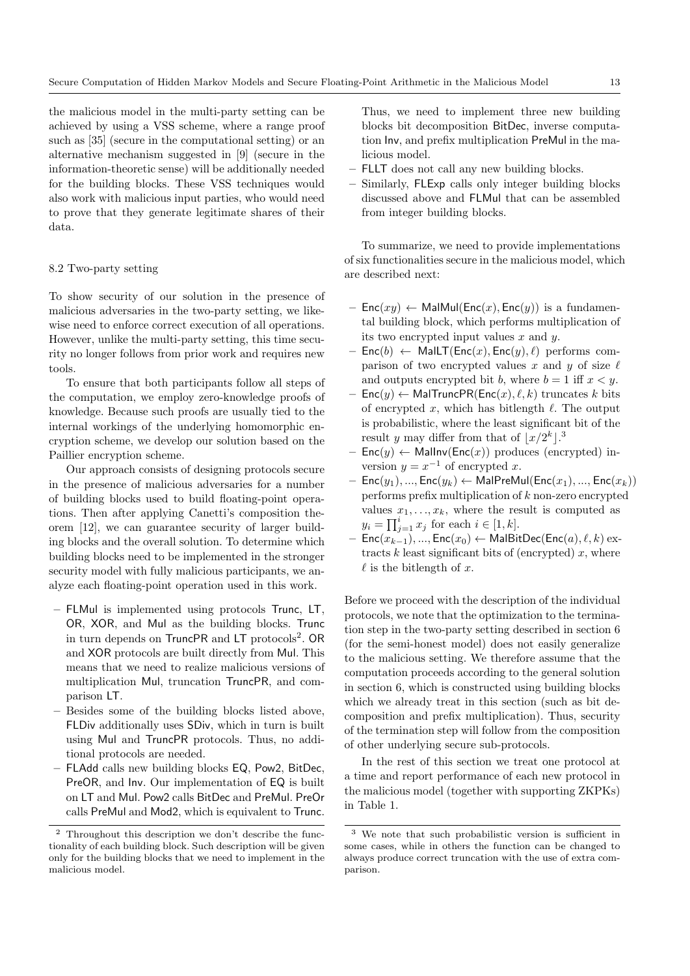the malicious model in the multi-party setting can be achieved by using a VSS scheme, where a range proof such as [35] (secure in the computational setting) or an alternative mechanism suggested in [9] (secure in the information-theoretic sense) will be additionally needed for the building blocks. These VSS techniques would also work with malicious input parties, who would need to prove that they generate legitimate shares of their data.

#### 8.2 Two-party setting

To show security of our solution in the presence of malicious adversaries in the two-party setting, we likewise need to enforce correct execution of all operations. However, unlike the multi-party setting, this time security no longer follows from prior work and requires new tools.

To ensure that both participants follow all steps of the computation, we employ zero-knowledge proofs of knowledge. Because such proofs are usually tied to the internal workings of the underlying homomorphic encryption scheme, we develop our solution based on the Paillier encryption scheme.

Our approach consists of designing protocols secure in the presence of malicious adversaries for a number of building blocks used to build floating-point operations. Then after applying Canetti's composition theorem [12], we can guarantee security of larger building blocks and the overall solution. To determine which building blocks need to be implemented in the stronger security model with fully malicious participants, we analyze each floating-point operation used in this work.

- FLMul is implemented using protocols Trunc, LT, OR, XOR, and Mul as the building blocks. Trunc in turn depends on  $TruncPR$  and LT protocols<sup>2</sup>. OR and XOR protocols are built directly from Mul. This means that we need to realize malicious versions of multiplication Mul, truncation TruncPR, and comparison LT.
- Besides some of the building blocks listed above, FLDiv additionally uses SDiv, which in turn is built using Mul and TruncPR protocols. Thus, no additional protocols are needed.
- FLAdd calls new building blocks EQ, Pow2, BitDec, PreOR, and Inv. Our implementation of EQ is built on LT and Mul. Pow2 calls BitDec and PreMul. PreOr calls PreMul and Mod2, which is equivalent to Trunc.

Thus, we need to implement three new building blocks bit decomposition BitDec, inverse computation Inv, and prefix multiplication PreMul in the malicious model.

- FLLT does not call any new building blocks.
- Similarly, FLExp calls only integer building blocks discussed above and FLMul that can be assembled from integer building blocks.

To summarize, we need to provide implementations of six functionalities secure in the malicious model, which are described next:

- $-$  Enc $(xy) \leftarrow$  MalMul(Enc $(x)$ , Enc $(y)$ ) is a fundamental building block, which performs multiplication of its two encrypted input values x and y.
- $Enc(b) \leftarrow \text{MalLT}(\text{Enc}(x), \text{Enc}(y), \ell)$  performs comparison of two encrypted values x and y of size  $\ell$ and outputs encrypted bit b, where  $b = 1$  iff  $x < y$ .
- Enc(y) ← MalTruncPR(Enc(x),  $\ell$ , k) truncates k bits of encrypted x, which has bitlength  $\ell$ . The output is probabilistic, where the least significant bit of the result y may differ from that of  $|x/2^k|$ .<sup>3</sup>
- $-$  Enc(y)  $\leftarrow$  Mallnv(Enc(x)) produces (encrypted) inversion  $y = x^{-1}$  of encrypted x.
- $Enc(y_1), ..., Enc(y_k) \leftarrow \text{MalPreMul}(\text{Enc}(x_1), ..., \text{Enc}(x_k))$ performs prefix multiplication of k non-zero encrypted values  $x_1, \ldots, x_k$ , where the result is computed as  $y_i = \prod_{j=1}^i x_j$  for each  $i \in [1, k]$ .
- $-$  Enc $(x_{k-1}), ...,$  Enc $(x_0)$  ← MalBitDec(Enc $(a), \ell, k$ ) extracts k least significant bits of (encrypted)  $x$ , where  $\ell$  is the bitlength of x.

Before we proceed with the description of the individual protocols, we note that the optimization to the termination step in the two-party setting described in section 6 (for the semi-honest model) does not easily generalize to the malicious setting. We therefore assume that the computation proceeds according to the general solution in section 6, which is constructed using building blocks which we already treat in this section (such as bit decomposition and prefix multiplication). Thus, security of the termination step will follow from the composition of other underlying secure sub-protocols.

In the rest of this section we treat one protocol at a time and report performance of each new protocol in the malicious model (together with supporting ZKPKs) in Table 1.

<sup>2</sup> Throughout this description we don't describe the functionality of each building block. Such description will be given only for the building blocks that we need to implement in the malicious model.

<sup>3</sup> We note that such probabilistic version is sufficient in some cases, while in others the function can be changed to always produce correct truncation with the use of extra comparison.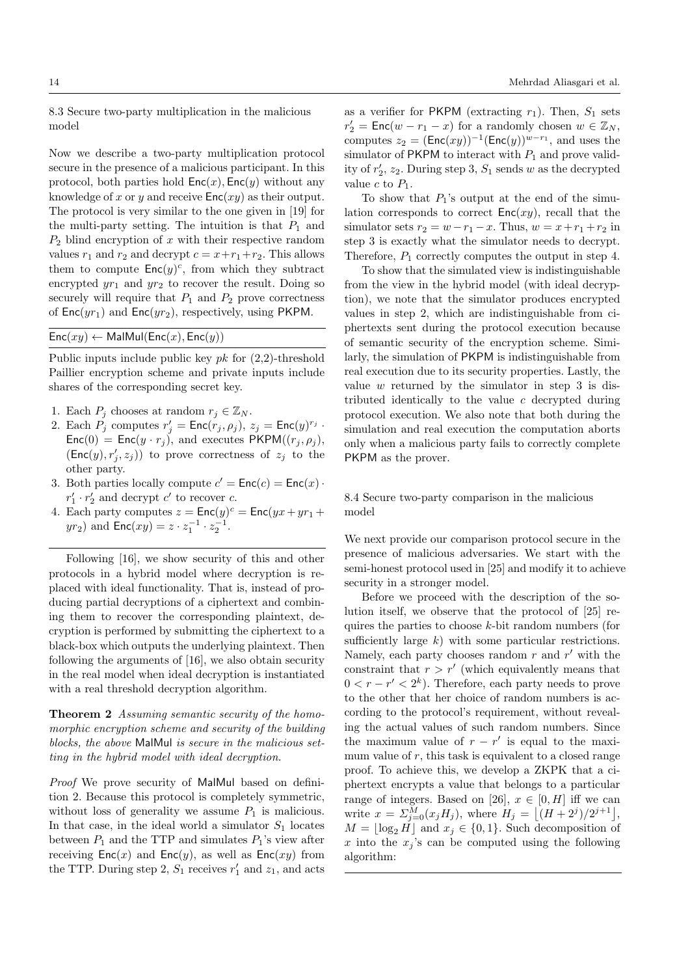8.3 Secure two-party multiplication in the malicious model

Now we describe a two-party multiplication protocol secure in the presence of a malicious participant. In this protocol, both parties hold  $Enc(x)$ ,  $Enc(y)$  without any knowledge of x or y and receive  $Enc(xy)$  as their output. The protocol is very similar to the one given in [19] for the multi-party setting. The intuition is that  $P_1$  and  $P_2$  blind encryption of x with their respective random values  $r_1$  and  $r_2$  and decrypt  $c = x + r_1 + r_2$ . This allows them to compute  $\mathsf{Enc}(y)^c$ , from which they subtract encrypted  $yr_1$  and  $yr_2$  to recover the result. Doing so securely will require that  $P_1$  and  $P_2$  prove correctness of  $Enc(yr_1)$  and  $Enc(yr_2)$ , respectively, using PKPM.

# $Enc(xy) \leftarrow \text{MalMul}(\text{Enc}(x), \text{Enc}(y))$

Public inputs include public key  $pk$  for  $(2,2)$ -threshold Paillier encryption scheme and private inputs include shares of the corresponding secret key.

- 1. Each  $P_i$  chooses at random  $r_j \in \mathbb{Z}_N$ .
- 2. Each  $P_j$  computes  $r'_j = \mathsf{Enc}(r_j, \rho_j), z_j = \mathsf{Enc}(y)^{r_j}$ .  $Enc(0) = Enc(y \cdot r_i)$ , and executes PKPM $((r_i, \rho_i))$ ,  $(Enc(y), r'_j, z_j))$  to prove correctness of  $z_j$  to the other party.
- 3. Both parties locally compute  $c' = \text{Enc}(c) = \text{Enc}(x)$ .  $r'_1 \cdot r'_2$  and decrypt  $c'$  to recover c.
- 4. Each party computes  $z = \text{Enc}(y)^c = \text{Enc}(yx + yr_1 +$  $yr_2$ ) and  $\mathsf{Enc}(xy) = z \cdot z_1^{-1} \cdot z_2^{-1}$ .

Following [16], we show security of this and other protocols in a hybrid model where decryption is replaced with ideal functionality. That is, instead of producing partial decryptions of a ciphertext and combining them to recover the corresponding plaintext, decryption is performed by submitting the ciphertext to a black-box which outputs the underlying plaintext. Then following the arguments of [16], we also obtain security in the real model when ideal decryption is instantiated with a real threshold decryption algorithm.

Theorem 2 Assuming semantic security of the homomorphic encryption scheme and security of the building blocks, the above MalMul is secure in the malicious setting in the hybrid model with ideal decryption.

Proof We prove security of MalMul based on definition 2. Because this protocol is completely symmetric, without loss of generality we assume  $P_1$  is malicious. In that case, in the ideal world a simulator  $S_1$  locates between  $P_1$  and the TTP and simulates  $P_1$ 's view after receiving  $Enc(x)$  and  $Enc(y)$ , as well as  $Enc(xy)$  from the TTP. During step 2,  $S_1$  receives  $r'_1$  and  $z_1$ , and acts as a verifier for PKPM (extracting  $r_1$ ). Then,  $S_1$  sets  $r'_2 = \text{Enc}(w - r_1 - x)$  for a randomly chosen  $w \in \mathbb{Z}_N$ , computes  $z_2 = (\text{Enc}(xy))^{-1}(\text{Enc}(y))^{w-r_1}$ , and uses the simulator of PKPM to interact with  $P_1$  and prove validity of  $r'_2$ ,  $z_2$ . During step 3,  $S_1$  sends w as the decrypted value  $c$  to  $P_1$ .

To show that  $P_1$ 's output at the end of the simulation corresponds to correct  $Enc(xy)$ , recall that the simulator sets  $r_2 = w - r_1 - x$ . Thus,  $w = x + r_1 + r_2$  in step 3 is exactly what the simulator needs to decrypt. Therefore,  $P_1$  correctly computes the output in step 4.

To show that the simulated view is indistinguishable from the view in the hybrid model (with ideal decryption), we note that the simulator produces encrypted values in step 2, which are indistinguishable from ciphertexts sent during the protocol execution because of semantic security of the encryption scheme. Similarly, the simulation of PKPM is indistinguishable from real execution due to its security properties. Lastly, the value  $w$  returned by the simulator in step 3 is distributed identically to the value  $c$  decrypted during protocol execution. We also note that both during the simulation and real execution the computation aborts only when a malicious party fails to correctly complete PKPM as the prover.

8.4 Secure two-party comparison in the malicious model

We next provide our comparison protocol secure in the presence of malicious adversaries. We start with the semi-honest protocol used in [25] and modify it to achieve security in a stronger model.

Before we proceed with the description of the solution itself, we observe that the protocol of [25] requires the parties to choose  $k$ -bit random numbers (for sufficiently large  $k$ ) with some particular restrictions. Namely, each party chooses random  $r$  and  $r'$  with the constraint that  $r > r'$  (which equivalently means that  $0 < r - r' < 2<sup>k</sup>$ ). Therefore, each party needs to prove to the other that her choice of random numbers is according to the protocol's requirement, without revealing the actual values of such random numbers. Since the maximum value of  $r - r'$  is equal to the maximum value of  $r$ , this task is equivalent to a closed range proof. To achieve this, we develop a ZKPK that a ciphertext encrypts a value that belongs to a particular range of integers. Based on [26],  $x \in [0, H]$  iff we can write  $x = \sum_{j=0}^{M} (x_j H_j)$ , where  $H_j = \left[ (H + 2^j)/2^{j+1} \right]$ ,  $M = \log_2 H$  and  $x_j \in \{0, 1\}$ . Such decomposition of x into the  $x_j$ 's can be computed using the following algorithm: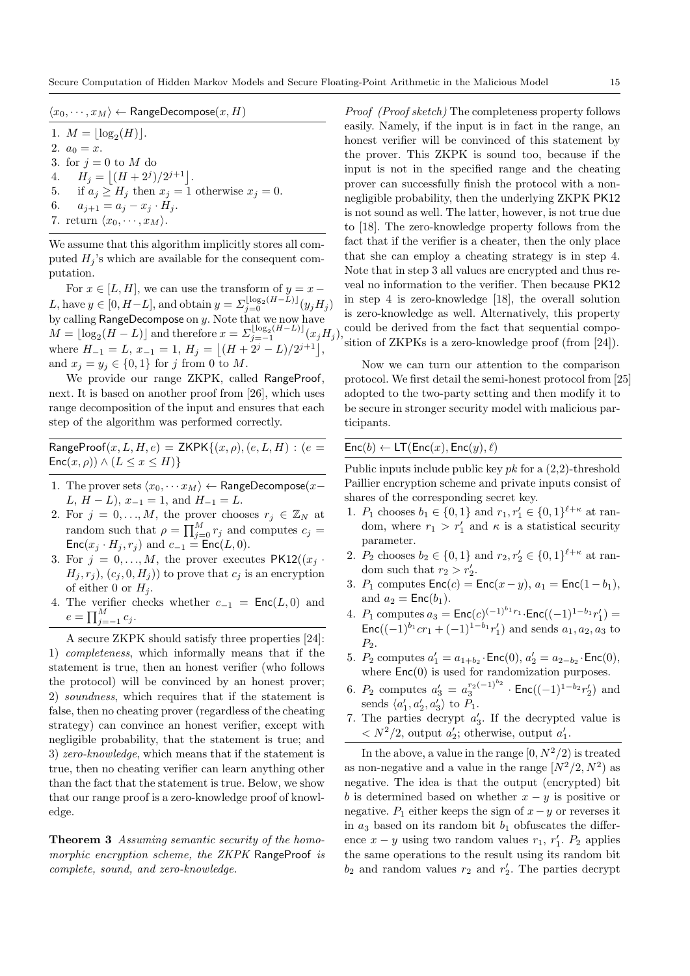$\langle x_0, \cdots, x_M\rangle \leftarrow$  RangeDecompose $(x, H)$ 

1.  $M = \lfloor \log_2(H) \rfloor$ . 2.  $a_0 = x$ . 3. for  $j = 0$  to M do 4.  $H_j = |(H+2^j)/2^{j+1}|.$ 5. if  $a_i \geq H_i$  then  $x_i = 1$  otherwise  $x_i = 0$ . 6.  $a_{j+1} = a_j - x_j \cdot H_j$ . 7. return  $\langle x_0, \cdots, x_M \rangle$ 

We assume that this algorithm implicitly stores all computed  $H_i$ 's which are available for the consequent computation.

For  $x \in [L, H]$ , we can use the transform of  $y = x -$ L, have  $y \in [0, H-L]$ , and obtain  $y = \sum_{j=0}^{\lfloor \log_2(H-L) \rfloor} (y_j H_j)$ by calling  $\mathsf{RangeDecompose}$  on  $y$ . Note that we now have  $M = \lfloor \log_2(H-L) \rfloor$  and therefore  $x = \sum_{j=-1}^{\lfloor \log_2(H-L) \rfloor}$  $j=-1}^{\lfloor \log_2(n-L) \rfloor} (x_j H_j),$ where  $H_{-1} = L$ ,  $x_{-1} = 1$ ,  $H_j = |(H + 2<sup>j</sup> - L)/2<sup>j+1</sup>|$ , and  $x_j = y_j \in \{0,1\}$  for j from 0 to M.

We provide our range ZKPK, called RangeProof, next. It is based on another proof from [26], which uses range decomposition of the input and ensures that each step of the algorithm was performed correctly.

RangeProof
$$
(x, L, H, e)
$$
 = ZKPK $\{(x, \rho), (e, L, H) : (e =$   
Enc $(x, \rho)$ )  $\wedge$   $(L \le x \le H)$ 

- 1. The prover sets  $\langle x_0, \cdots x_M \rangle$  ← RangeDecompose(x–  $L, H - L$ ,  $x_{-1} = 1$ , and  $H_{-1} = L$ .
- 2. For  $j = 0, ..., M$ , the prover chooses  $r_j \in \mathbb{Z}_N$  at random such that  $\rho = \prod_{j=0}^{M} r_j$  and computes  $c_j =$  $Enc(x_i \cdot H_i, r_i)$  and  $c_{-1} = Enc(L, 0)$ .
- 3. For  $j = 0, ..., M$ , the prover executes PK12 $((x_j \cdot$  $(H_j, r_j)$ ,  $(c_j, 0, H_j)$  to prove that  $c_j$  is an encryption of either 0 or  $H_i$ .
- 4. The verifier checks whether  $c_{-1} = \text{Enc}(L, 0)$  and  $e = \prod_{j=-1}^{M} c_j.$

A secure ZKPK should satisfy three properties [24]: 1) completeness, which informally means that if the statement is true, then an honest verifier (who follows the protocol) will be convinced by an honest prover; 2) soundness, which requires that if the statement is false, then no cheating prover (regardless of the cheating strategy) can convince an honest verifier, except with negligible probability, that the statement is true; and 3) zero-knowledge, which means that if the statement is true, then no cheating verifier can learn anything other than the fact that the statement is true. Below, we show that our range proof is a zero-knowledge proof of knowledge.

Theorem 3 Assuming semantic security of the homomorphic encryption scheme, the ZKPK RangeProof is complete, sound, and zero-knowledge.

Proof (Proof sketch) The completeness property follows easily. Namely, if the input is in fact in the range, an honest verifier will be convinced of this statement by the prover. This ZKPK is sound too, because if the input is not in the specified range and the cheating prover can successfully finish the protocol with a nonnegligible probability, then the underlying ZKPK PK12 is not sound as well. The latter, however, is not true due to [18]. The zero-knowledge property follows from the fact that if the verifier is a cheater, then the only place that she can employ a cheating strategy is in step 4. Note that in step 3 all values are encrypted and thus reveal no information to the verifier. Then because PK12 in step 4 is zero-knowledge [18], the overall solution is zero-knowledge as well. Alternatively, this property could be derived from the fact that sequential composition of ZKPKs is a zero-knowledge proof (from [24]).

Now we can turn our attention to the comparison protocol. We first detail the semi-honest protocol from [25] adopted to the two-party setting and then modify it to be secure in stronger security model with malicious participants.

# $Enc(b) \leftarrow LT(Enc(x), Enc(y), \ell)$

Public inputs include public key  $pk$  for a  $(2,2)$ -threshold Paillier encryption scheme and private inputs consist of shares of the corresponding secret key.

- 1.  $P_1$  chooses  $b_1 \in \{0, 1\}$  and  $r_1, r'_1 \in \{0, 1\}^{\ell + \kappa}$  at random, where  $r_1 > r'_1$  and  $\kappa$  is a statistical security parameter.
- 2.  $P_2$  chooses  $b_2 \in \{0, 1\}$  and  $r_2, r'_2 \in \{0, 1\}^{\ell + \kappa}$  at random such that  $r_2 > r'_2$ .
- 3. P<sub>1</sub> computes  $Enc(c) = Enc(x y), a_1 = Enc(1 b_1),$ and  $a_2 = \text{Enc}(b_1)$ .
- 4.  $P_1$  computes  $a_3 = \text{Enc}(c)^{(-1)^{b_1}r_1} \cdot \text{Enc}((-1)^{1-b_1}r'_1) =$  $\textsf{Enc}((-1)^{b_1}cr_1+(-1)^{1-b_1}r'_1)$  and sends  $a_1, a_2, a_3$  to  $P<sub>2</sub>$ .
- 5.  $P_2$  computes  $a'_1 = a_{1+b_2} \cdot \text{Enc}(0), a'_2 = a_{2-b_2} \cdot \text{Enc}(0),$ where  $Enc(0)$  is used for randomization purposes.
- 6.  $P_2$  computes  $a'_3 = a_3^{r_2(-1)^{b_2}} \cdot \text{Enc}((-1)^{1-b_2}r'_2)$  and sends  $\langle a_1', a_2', a_3' \rangle$  to  $P_1$ .
- 7. The parties decrypt  $a'_3$ . If the decrypted value is  $\langle N^2/2, \text{output } a'_2; \text{otherwise}, \text{output } a'_1.$

In the above, a value in the range  $[0, N^2/2)$  is treated as non-negative and a value in the range  $[N^2/2, N^2)$  as negative. The idea is that the output (encrypted) bit b is determined based on whether  $x - y$  is positive or negative.  $P_1$  either keeps the sign of  $x - y$  or reverses it in  $a_3$  based on its random bit  $b_1$  obfuscates the difference  $x - y$  using two random values  $r_1, r'_1$ .  $P_2$  applies the same operations to the result using its random bit  $b_2$  and random values  $r_2$  and  $r'_2$ . The parties decrypt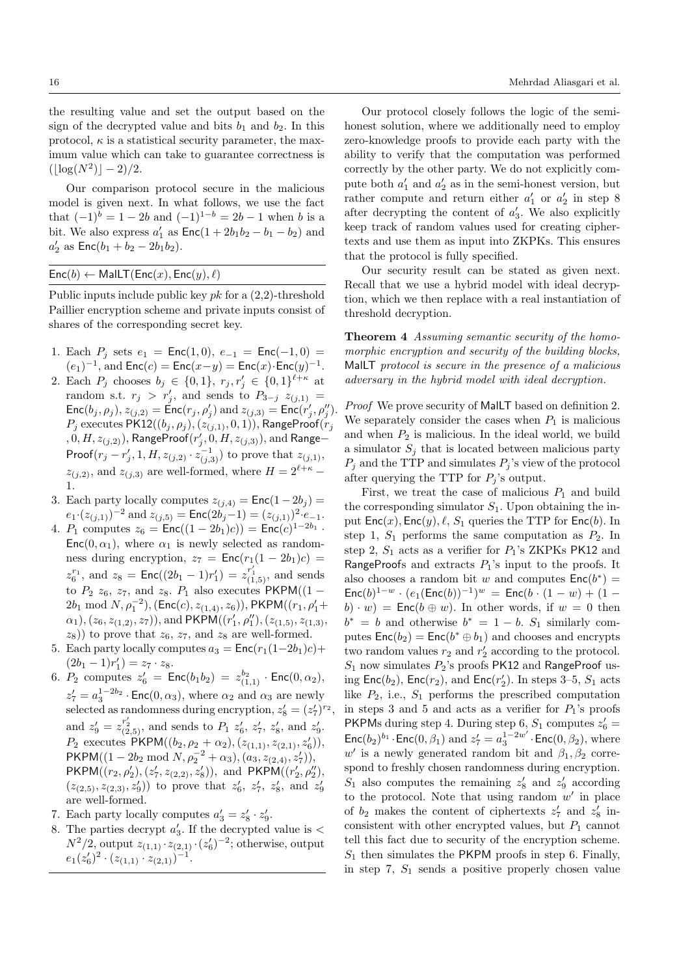the resulting value and set the output based on the sign of the decrypted value and bits  $b_1$  and  $b_2$ . In this protocol,  $\kappa$  is a statistical security parameter, the maximum value which can take to guarantee correctness is  $(\lfloor \log(N^2) \rfloor - 2)/2.$ 

Our comparison protocol secure in the malicious model is given next. In what follows, we use the fact that  $(-1)^{b} = 1 - 2b$  and  $(-1)^{1-b} = 2b - 1$  when b is a bit. We also express  $a'_1$  as  $\textsf{Enc}(1+2b_1b_2-b_1-b_2)$  and  $a'_2$  as  $\mathsf{Enc}(b_1 + b_2 - 2b_1b_2)$ .

# $Enc(b) \leftarrow \text{MalLT}(\text{Enc}(x), \text{Enc}(y), \ell)$

Public inputs include public key  $pk$  for a  $(2,2)$ -threshold Paillier encryption scheme and private inputs consist of shares of the corresponding secret key.

- 1. Each  $P_i$  sets  $e_1 = \text{Enc}(1,0), e_{-1} = \text{Enc}(-1,0) =$  $(e_1)^{-1}$ , and  $\mathsf{Enc}(c) = \mathsf{Enc}(x - y) = \mathsf{Enc}(x) \cdot \mathsf{Enc}(y)^{-1}$ .
- 2. Each  $P_j$  chooses  $b_j \in \{0,1\}, r_j, r'_j \in \{0,1\}^{\ell+\kappa}$  at random s.t.  $r_j > r'_j$ , and sends to  $P_{3-j} z_{(j,1)} =$  $\mathsf{Enc}(b_j, \rho_j), z_{(j,2)} = \mathsf{Enc}(r_j, \rho'_j)$  and  $z_{(j,3)} = \mathsf{Enc}(r'_j, \rho''_j)$ .  $P_j$  executes  $\widetilde{\mathsf{PK12}}((b_j,\rho_j),(z_{(j,1)},0,1)),$  RangeProof $(r_j)$  $(0, H, z_{(j,2)}),$  Range $\mathsf{Proof}(r'_j, 0, H, z_{(j,3)}),$  and Range $-$ Proof $(r_j - r'_j, 1, H, z_{(j,2)} \cdot z_{(j,3)}^{-1})$  to prove that  $z_{(j,1)}$ ,  $z_{(j,2)}$ , and  $z_{(j,3)}$  are well-formed, where  $H = 2^{\ell+\kappa}$  – 1.
- 3. Each party locally computes  $z_{(j,4)} = \text{Enc}(1-2b_j) =$  $e_1 \cdot (z_{(j,1)})^{-2}$  and  $z_{(j,5)} = \text{Enc}(2b_j - 1) = (z_{(j,1)})^2 \cdot e_{-1}$ .
- 4.  $P_1$  computes  $z_6 = \text{Enc}((1-2b_1)c)) = \text{Enc}(c)^{1-2b_1}$ .  $Enc(0, \alpha_1)$ , where  $\alpha_1$  is newly selected as randomness during encryption,  $z_7 = \text{Enc}(r_1(1-2b_1)c)$  $z_6^{r_1}$ , and  $z_8 = \text{Enc}((2b_1 - 1)r'_1) = z_{(1,5)}^{r'_1}$ , and sends to  $P_2$   $z_6$ ,  $z_7$ , and  $z_8$ .  $P_1$  also executes PKPM((1 –  $2b_1 \bmod N, \rho_1^{-2}$ ), (Enc $(c), z_{(1,4)}, z_6$ )), PKPM $((r_1, \rho_1' +$  $\alpha_1$ ,  $(z_6, z_{(1,2)}, z_7)$ , and PKPM $((r'_1, \rho''_1), (z_{(1,5)}, z_{(1,3)},$  $(z_8)$ ) to prove that  $z_6$ ,  $z_7$ , and  $z_8$  are well-formed.
- 5. Each party locally computes  $a_3 = \text{Enc}(r_1(1-2b_1)c) +$  $(2b_1 - 1)r'_1$ ) =  $z_7 \cdot z_8$ .
- 6.  $P_2$  computes  $z'_6 = \mathsf{Enc}(b_1 b_2) = z_{(1,1)}^{b_2} \cdot \mathsf{Enc}(0, \alpha_2),$  $z_7 = a_3^{1-2b_2} \cdot \text{Enc}(0, \alpha_3)$ , where  $\alpha_2$  and  $\alpha_3$  are newly selected as randomness during encryption,  $z'_8 = (z'_7)^{r_2}$ , and  $z'_9 = z^{r'_2}_{(2,5)}$ , and sends to  $P_1$   $z'_6$ ,  $z'_7$ ,  $z'_8$ , and  $z'_9$ .  $P_2$  executes  $PKPM((b_2, \rho_2 + \alpha_2), (z_{(1,1)}, z_{(2,1)}, z'_6)),$ PKPM( $(1-2b_2 \mod N, \rho_2^{-2}+\alpha_3), (a_3, z_{(2,4)}, z_7)),$ PKPM( $(r_2, \rho'_2), (z'_7, z_{(2,2)}, z'_8)$ ), and PKPM( $(r'_2, \rho''_2)$ ,  $(z_{(2,5)}, z_{(2,3)}, z'_{9})$  to prove that  $z'_{6}, z'_{7}, z'_{8}$ , and  $z'_{9}$ are well-formed.
- 7. Each party locally computes  $a'_3 = z'_8 \cdot z'_9$ .
- 8. The parties decrypt  $a'_3$ . If the decrypted value is  $\lt$  $N^2/2$ , output  $z_{(1,1)} \cdot z_{(2,1)} \cdot (z_6')^{-2}$ ; otherwise, output  $e_1(z'_6)^2 \cdot (z_{(1,1)} \cdot z_{(2,1)})^{-1}.$

Our protocol closely follows the logic of the semihonest solution, where we additionally need to employ zero-knowledge proofs to provide each party with the ability to verify that the computation was performed correctly by the other party. We do not explicitly compute both  $a'_1$  and  $a'_2$  as in the semi-honest version, but rather compute and return either  $a'_1$  or  $a'_2$  in step 8 after decrypting the content of  $a'_3$ . We also explicitly keep track of random values used for creating ciphertexts and use them as input into ZKPKs. This ensures that the protocol is fully specified.

Our security result can be stated as given next. Recall that we use a hybrid model with ideal decryption, which we then replace with a real instantiation of threshold decryption.

Theorem 4 Assuming semantic security of the homomorphic encryption and security of the building blocks. MalLT protocol is secure in the presence of a malicious adversary in the hybrid model with ideal decryption.

Proof We prove security of MalLT based on definition 2. We separately consider the cases when  $P_1$  is malicious and when  $P_2$  is malicious. In the ideal world, we build a simulator  $S_j$  that is located between malicious party  $P_i$  and the TTP and simulates  $P_i$ 's view of the protocol after querying the TTP for  $P_j$ 's output.

First, we treat the case of malicious  $P_1$  and build the corresponding simulator  $S_1$ . Upon obtaining the input  $Enc(x)$ ,  $Enc(y)$ ,  $\ell$ ,  $S_1$  queries the TTP for  $Enc(b)$ . In step 1,  $S_1$  performs the same computation as  $P_2$ . In step 2,  $S_1$  acts as a verifier for  $P_1$  's ZKPKs  $\mathsf{PK12}$  and RangeProofs and extracts  $P_1$ 's input to the proofs. It also chooses a random bit w and computes  $Enc(b^*)$  $Enc(b)^{1-w} \cdot (e_1(Enc(b))^{-1})^w = Enc(b \cdot (1-w) + (1-w)$  $(b) \cdot w$  = Enc(b  $\oplus w$ ). In other words, if  $w = 0$  then  $b^* = b$  and otherwise  $b^* = 1 - b$ . S<sub>1</sub> similarly computes  $\textsf{Enc}(b_2) = \textsf{Enc}(b^* \oplus b_1)$  and chooses and encrypts two random values  $r_2$  and  $r'_2$  according to the protocol.  $S_1$  now simulates  $P_2$ 's proofs PK12 and RangeProof using  $Enc(b_2)$ ,  $Enc(r_2)$ , and  $Enc(r'_2)$ . In steps 3-5,  $S_1$  acts like  $P_2$ , i.e.,  $S_1$  performs the prescribed computation in steps 3 and 5 and acts as a verifier for  $P_1$ 's proofs PKPMs during step 4. During step 6,  $S_1$  computes  $z'_6$  =  $\mathsf{Enc}(b_2)^{b_1} \cdot \mathsf{Enc}(0, \beta_1)$  and  $z_7' = a_3^{1-2w'}$  $\frac{1-2w}{3}$  · Enc $(0, \beta_2)$ , where  $w'$  is a newly generated random bit and  $\beta_1, \beta_2$  correspond to freshly chosen randomness during encryption.  $S_1$  also computes the remaining  $z'_8$  and  $z'_9$  according to the protocol. Note that using random  $w'$  in place of  $b_2$  makes the content of ciphertexts  $z'_7$  and  $z'_8$  inconsistent with other encrypted values, but  $P_1$  cannot tell this fact due to security of the encryption scheme.  $S_1$  then simulates the PKPM proofs in step 6. Finally, in step 7,  $S_1$  sends a positive properly chosen value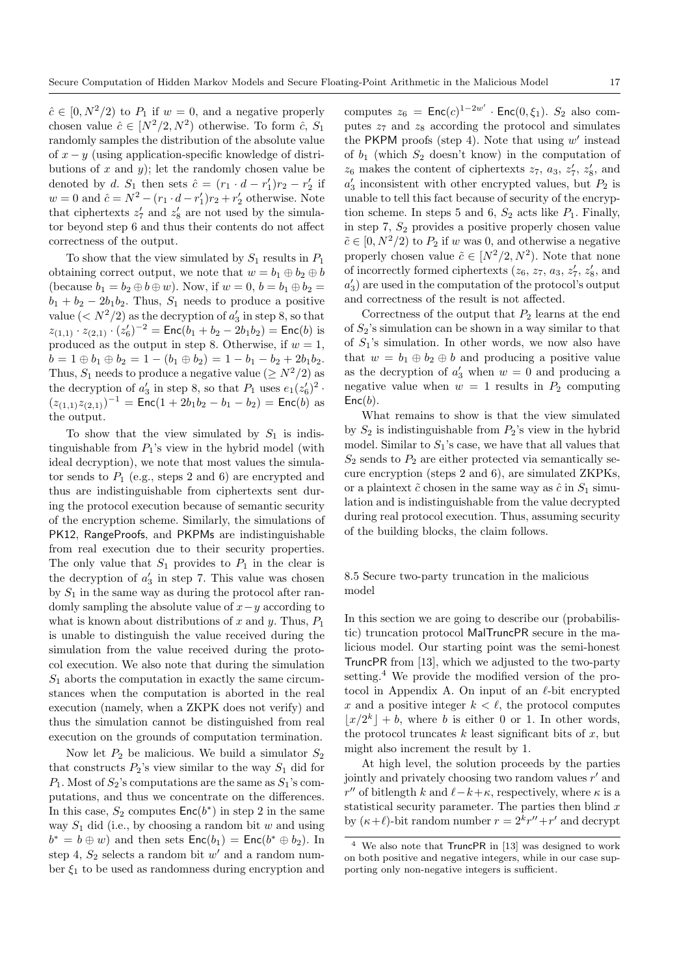$\hat{c} \in [0, N^2/2)$  to  $P_1$  if  $w = 0$ , and a negative properly chosen value  $\hat{c} \in [N^2/2, N^2)$  otherwise. To form  $\hat{c}$ ,  $S_1$ randomly samples the distribution of the absolute value of  $x - y$  (using application-specific knowledge of distributions of x and y); let the randomly chosen value be denoted by d.  $S_1$  then sets  $\hat{c} = (r_1 \cdot d - r_1')r_2 - r_2'$  if  $w = 0$  and  $\hat{c} = N^2 - (r_1 \cdot d - r_1')r_2 + r_2'$  otherwise. Note that ciphertexts  $z'_7$  and  $z'_8$  are not used by the simulator beyond step 6 and thus their contents do not affect correctness of the output.

To show that the view simulated by  $S_1$  results in  $P_1$ obtaining correct output, we note that  $w = b_1 \oplus b_2 \oplus b$ (because  $b_1 = b_2 \oplus b \oplus w$ ). Now, if  $w = 0$ ,  $b = b_1 \oplus b_2 =$  $b_1 + b_2 - 2b_1b_2$ . Thus,  $S_1$  needs to produce a positive value  $( $N^2/2$ )$  as the decryption of  $a'_3$  in step 8, so that  $z_{(1,1)} \cdot z_{(2,1)} \cdot (z_6')^{-2} = \text{Enc}(b_1 + b_2 - 2b_1b_2) = \text{Enc}(b)$  is produced as the output in step 8. Otherwise, if  $w = 1$ ,  $b = 1 \oplus b_1 \oplus b_2 = 1 - (b_1 \oplus b_2) = 1 - b_1 - b_2 + 2b_1b_2.$ Thus,  $S_1$  needs to produce a negative value ( $\geq N^2/2$ ) as the decryption of  $a'_3$  in step 8, so that  $P_1$  uses  $e_1(z'_6)^2$ .  $(z_{(1,1)}z_{(2,1)})^{-1} = \text{Enc}(1+2b_1b_2-b_1-b_2) = \text{Enc}(b)$  as the output.

To show that the view simulated by  $S_1$  is indistinguishable from  $P_1$ 's view in the hybrid model (with ideal decryption), we note that most values the simulator sends to  $P_1$  (e.g., steps 2 and 6) are encrypted and thus are indistinguishable from ciphertexts sent during the protocol execution because of semantic security of the encryption scheme. Similarly, the simulations of PK12, RangeProofs, and PKPMs are indistinguishable from real execution due to their security properties. The only value that  $S_1$  provides to  $P_1$  in the clear is the decryption of  $a'_3$  in step 7. This value was chosen by  $S_1$  in the same way as during the protocol after randomly sampling the absolute value of  $x-y$  according to what is known about distributions of x and y. Thus,  $P_1$ is unable to distinguish the value received during the simulation from the value received during the protocol execution. We also note that during the simulation  $S_1$  aborts the computation in exactly the same circumstances when the computation is aborted in the real execution (namely, when a ZKPK does not verify) and thus the simulation cannot be distinguished from real execution on the grounds of computation termination.

Now let  $P_2$  be malicious. We build a simulator  $S_2$ that constructs  $P_2$ 's view similar to the way  $S_1$  did for  $P_1$ . Most of  $S_2$ 's computations are the same as  $S_1$ 's computations, and thus we concentrate on the differences. In this case,  $S_2$  computes  $Enc(b^*)$  in step 2 in the same way  $S_1$  did (i.e., by choosing a random bit w and using  $b^* = b \oplus w$ ) and then sets  $\mathsf{Enc}(b_1) = \mathsf{Enc}(b^* \oplus b_2)$ . In step 4,  $S_2$  selects a random bit  $w'$  and a random number  $\xi_1$  to be used as randomness during encryption and

computes  $z_6 = \text{Enc}(c)^{1-2w'} \cdot \text{Enc}(0, \xi_1)$ .  $S_2$  also computes  $z_7$  and  $z_8$  according the protocol and simulates the PKPM proofs (step 4). Note that using  $w'$  instead of  $b_1$  (which  $S_2$  doesn't know) in the computation of  $z_6$  makes the content of ciphertexts  $z_7$ ,  $a_3$ ,  $z'_7$ ,  $z'_8$ , and  $a'_3$  inconsistent with other encrypted values, but  $P_2$  is unable to tell this fact because of security of the encryption scheme. In steps 5 and 6,  $S_2$  acts like  $P_1$ . Finally, in step 7,  $S_2$  provides a positive properly chosen value  $\tilde{c} \in [0, N^2/2)$  to  $P_2$  if w was 0, and otherwise a negative properly chosen value  $\tilde{c} \in [N^2/2, N^2)$ . Note that none of incorrectly formed ciphertexts  $(z_6, z_7, a_3, z'_7, z'_8, \text{ and }$ a 0 3 ) are used in the computation of the protocol's output and correctness of the result is not affected.

Correctness of the output that  $P_2$  learns at the end of  $S_2$ 's simulation can be shown in a way similar to that of  $S_1$ 's simulation. In other words, we now also have that  $w = b_1 \oplus b_2 \oplus b$  and producing a positive value as the decryption of  $a'_3$  when  $w = 0$  and producing a negative value when  $w = 1$  results in  $P_2$  computing  $Enc(b)$ .

What remains to show is that the view simulated by  $S_2$  is indistinguishable from  $P_2$ 's view in the hybrid model. Similar to  $S_1$ 's case, we have that all values that  $S_2$  sends to  $P_2$  are either protected via semantically secure encryption (steps 2 and 6), are simulated ZKPKs, or a plaintext  $\tilde{c}$  chosen in the same way as  $\hat{c}$  in  $S_1$  simulation and is indistinguishable from the value decrypted during real protocol execution. Thus, assuming security of the building blocks, the claim follows.

# 8.5 Secure two-party truncation in the malicious model

In this section we are going to describe our (probabilistic) truncation protocol MalTruncPR secure in the malicious model. Our starting point was the semi-honest TruncPR from [13], which we adjusted to the two-party setting.<sup>4</sup> We provide the modified version of the protocol in Appendix A. On input of an  $\ell$ -bit encrypted x and a positive integer  $k < \ell$ , the protocol computes  $|x/2^k| + b$ , where b is either 0 or 1. In other words, the protocol truncates  $k$  least significant bits of  $x$ , but might also increment the result by 1.

At high level, the solution proceeds by the parties jointly and privately choosing two random values  $r'$  and r'' of bitlength k and  $\ell - k + \kappa$ , respectively, where  $\kappa$  is a statistical security parameter. The parties then blind  $x$ by  $(\kappa+\ell)$ -bit random number  $r = 2^k r'' + r'$  and decrypt

We also note that TruncPR in [13] was designed to work on both positive and negative integers, while in our case supporting only non-negative integers is sufficient.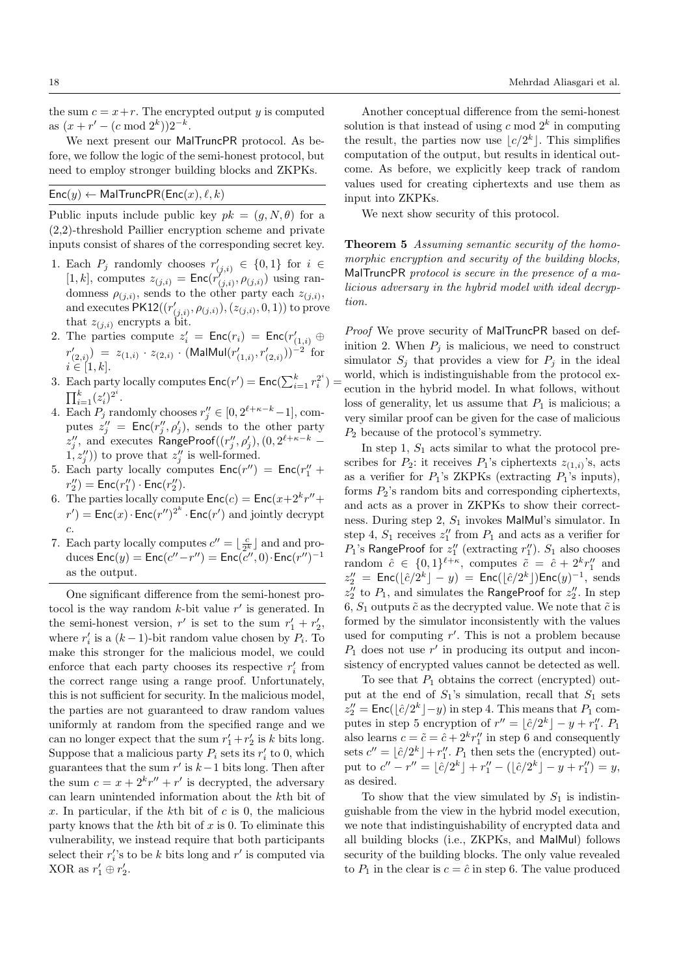the sum  $c = x+r$ . The encrypted output y is computed as  $(x + r' - (c \mod 2^k))2^{-k}$ .

We next present our MalTruncPR protocol. As before, we follow the logic of the semi-honest protocol, but need to employ stronger building blocks and ZKPKs.

### $Enc(y) \leftarrow \text{MalTruncPR}(\text{Enc}(x), \ell, k)$

Public inputs include public key  $pk = (q, N, \theta)$  for a (2,2)-threshold Paillier encryption scheme and private inputs consist of shares of the corresponding secret key.

- 1. Each  $P_j$  randomly chooses  $r'_{(j,i)} \in \{0,1\}$  for  $i \in$  $[1, k]$ , computes  $z_{(j,i)} = \text{Enc}(r_{(j,i)}^{j'}, \rho_{(j,i)})$  using randomness  $\rho_{(j,i)}$ , sends to the other party each  $z_{(j,i)}$ , and executes  $PK12((r'_{(j,i)}, \rho_{(j,i)}), (z_{(j,i)}, 0, 1))$  to prove that  $z_{(j,i)}$  encrypts a bit.
- 2. The parties compute  $z_i' = \text{Enc}(r_i) = \text{Enc}(r'_{(1,i)} \oplus$  $r'_{(2,i)}) = z_{(1,i)} \cdot z_{(2,i)} \cdot (\mathsf{MalMul}(r'_{(1,i)}, r'_{(2,i)}))^{-2}$  for  $i \in [1, k]$ .
- 3. Each party locally computes  $\mathsf{Enc}(r') = \mathsf{Enc}(\sum_{i=1}^k r_i^{2^i}) =$  $\prod_{i=1}^{k} (z_i')^{2^i}$ .
- 4. Each  $P_j$  randomly chooses  $r''_j \in [0, 2^{\ell + \kappa k} 1]$ , computes  $z''_j = \text{Enc}(r''_j, \rho'_j)$ , sends to the other party  $z''_j$ , and executes  $\mathsf{RangeProof}((r''_j, \rho'_j), (0, 2^{\ell+\kappa-k}-1)$  $(1, z''_j)$  to prove that  $z''_j$  is well-formed.
- 5. Each party locally computes  $\mathsf{Enc}(r'') = \mathsf{Enc}(r''_1 + \cdots + r_n)$  $r''_2$ ) = Enc $(r''_1) \cdot$  Enc $(r''_2)$ .
- 6. The parties locally compute  $\mathsf{Enc}(c) = \mathsf{Enc}(x + 2^k r'' + c)$  $r'$ ) = Enc(x) · Enc(r'')<sup>2k</sup> · Enc(r') and jointly decrypt c.
- 7. Each party locally computes  $c'' = \lfloor \frac{c}{2^k} \rfloor$  and and produces  $\mathsf{Enc}(y) = \mathsf{Enc}(c'' - r'') = \mathsf{Enc}(\overline{c}'', 0) \cdot \mathsf{Enc}(r'')^{-1}$ as the output.

One significant difference from the semi-honest protocol is the way random  $k$ -bit value  $r'$  is generated. In the semi-honest version,  $r'$  is set to the sum  $r'_1 + r'_2$ , where  $r_i'$  is a  $(k-1)$ -bit random value chosen by  $P_i$ . To make this stronger for the malicious model, we could enforce that each party chooses its respective  $r_i'$  from the correct range using a range proof. Unfortunately, this is not sufficient for security. In the malicious model, the parties are not guaranteed to draw random values uniformly at random from the specified range and we can no longer expect that the sum  $r'_1 + r'_2$  is k bits long. Suppose that a malicious party  $P_i$  sets its  $r'_i$  to 0, which guarantees that the sum  $r'$  is  $k-1$  bits long. Then after the sum  $c = x + 2<sup>k</sup>r'' + r'$  is decrypted, the adversary can learn unintended information about the kth bit of x. In particular, if the kth bit of  $c$  is 0, the malicious party knows that the k<sup>th</sup> bit of  $x$  is 0. To eliminate this vulnerability, we instead require that both participants select their  $r_i$ 's to be k bits long and r' is computed via XOR as  $r'_1 \oplus r'_2$ .

Another conceptual difference from the semi-honest solution is that instead of using  $c \mod 2^k$  in computing the result, the parties now use  $\lfloor c/2^k \rfloor$ . This simplifies computation of the output, but results in identical outcome. As before, we explicitly keep track of random values used for creating ciphertexts and use them as input into ZKPKs.

We next show security of this protocol.

Theorem 5 Assuming semantic security of the homomorphic encryption and security of the building blocks, MalTruncPR protocol is secure in the presence of a malicious adversary in the hybrid model with ideal decryption.

Proof We prove security of MalTruncPR based on definition 2. When  $P_j$  is malicious, we need to construct simulator  $S_i$  that provides a view for  $P_i$  in the ideal world, which is indistinguishable from the protocol execution in the hybrid model. In what follows, without loss of generality, let us assume that  $P_1$  is malicious; a very similar proof can be given for the case of malicious  $P_2$  because of the protocol's symmetry.

In step 1,  $S_1$  acts similar to what the protocol prescribes for  $P_2$ : it receives  $P_1$ 's ciphertexts  $z_{(1,i)}$ 's, acts as a verifier for  $P_1$ 's ZKPKs (extracting  $P_1$ 's inputs), forms  $P_2$ 's random bits and corresponding ciphertexts, and acts as a prover in ZKPKs to show their correctness. During step 2,  $S_1$  invokes MalMul's simulator. In step 4,  $S_1$  receives  $z_1''$  from  $P_1$  and acts as a verifier for  $P_1$ 's RangeProof for  $z_1''$  (extracting  $r_1'$ ).  $S_1$  also chooses random  $\hat{c} \in \{0,1\}^{\ell+\kappa}$ , computes  $\tilde{c} = \hat{c} + 2^k r_1''$  and  $z_2'' = \mathsf{Enc}(\lfloor \hat{c}/2^k \rfloor - y) = \mathsf{Enc}(\lfloor \hat{c}/2^k \rfloor) \mathsf{Enc}(y)^{-1}, \text{ sends }$  $z_2''$  to  $P_1$ , and simulates the RangeProof for  $z_2''$ . In step 6,  $S_1$  outputs  $\tilde{c}$  as the decrypted value. We note that  $\tilde{c}$  is formed by the simulator inconsistently with the values used for computing  $r'$ . This is not a problem because  $P_1$  does not use  $r'$  in producing its output and inconsistency of encrypted values cannot be detected as well.

To see that  $P_1$  obtains the correct (encrypted) output at the end of  $S_1$ 's simulation, recall that  $S_1$  sets  $z_2'' = \text{Enc}(\lfloor \hat{c}/2^k \rfloor - y)$  in step 4. This means that  $P_1$  computes in step 5 encryption of  $r'' = \lfloor \hat{c}/2^k \rfloor - y + r''_1$ .  $P_1$ also learns  $c = \tilde{c} = \hat{c} + 2^k r_1''$  in step 6 and consequently sets  $c'' = \lfloor \hat{c}/2^k \rfloor + r''_1$ .  $P_1$  then sets the (encrypted) output to  $c'' - r'' = \lfloor \hat{c}/2^k \rfloor + r''_1 - (\lfloor \hat{c}/2^k \rfloor - y + r''_1) = y$ , as desired.

To show that the view simulated by  $S_1$  is indistinguishable from the view in the hybrid model execution, we note that indistinguishability of encrypted data and all building blocks (i.e., ZKPKs, and MalMul) follows security of the building blocks. The only value revealed to  $P_1$  in the clear is  $c = \hat{c}$  in step 6. The value produced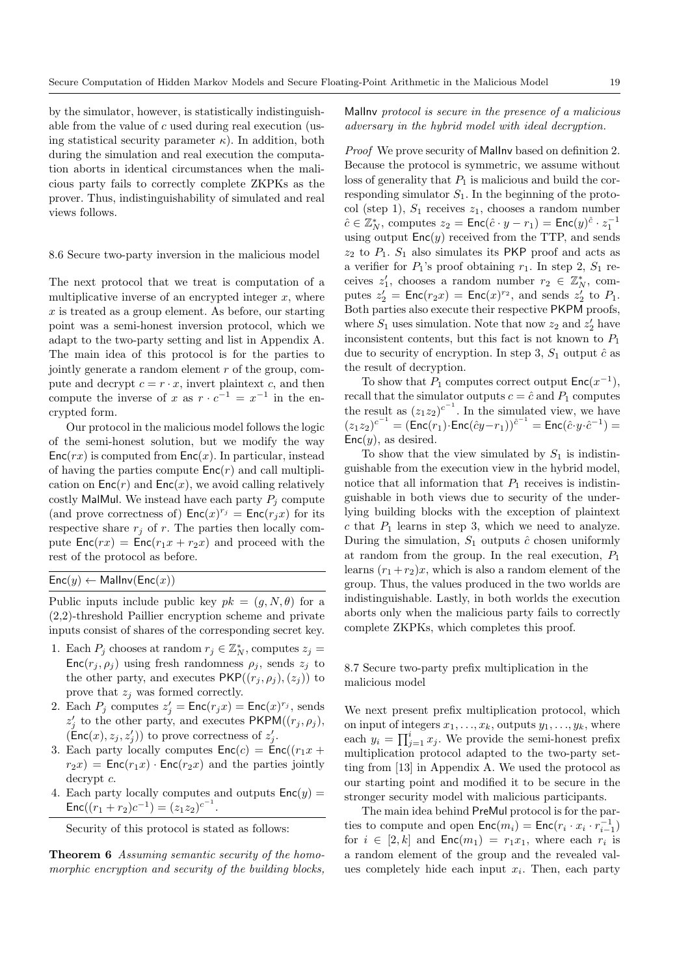by the simulator, however, is statistically indistinguishable from the value of c used during real execution (using statistical security parameter  $\kappa$ ). In addition, both during the simulation and real execution the computation aborts in identical circumstances when the malicious party fails to correctly complete ZKPKs as the prover. Thus, indistinguishability of simulated and real views follows.

#### 8.6 Secure two-party inversion in the malicious model

The next protocol that we treat is computation of a multiplicative inverse of an encrypted integer  $x$ , where  $x$  is treated as a group element. As before, our starting point was a semi-honest inversion protocol, which we adapt to the two-party setting and list in Appendix A. The main idea of this protocol is for the parties to jointly generate a random element  $r$  of the group, compute and decrypt  $c = r \cdot x$ , invert plaintext c, and then compute the inverse of x as  $r \cdot c^{-1} = x^{-1}$  in the encrypted form.

Our protocol in the malicious model follows the logic of the semi-honest solution, but we modify the way  $Enc(rx)$  is computed from  $Enc(x)$ . In particular, instead of having the parties compute  $Enc(r)$  and call multiplication on  $Enc(r)$  and  $Enc(x)$ , we avoid calling relatively costly MalMul. We instead have each party  $P_i$  compute (and prove correctness of)  $\mathsf{Enc}(x)^{r_j} = \mathsf{Enc}(r_jx)$  for its respective share  $r_i$  of r. The parties then locally compute  $\textsf{Enc}(rx) = \textsf{Enc}(r_1x + r_2x)$  and proceed with the rest of the protocol as before.

 $Enc(y) \leftarrow$  Mallnv(Enc(x))

Public inputs include public key  $pk = (g, N, \theta)$  for a (2,2)-threshold Paillier encryption scheme and private inputs consist of shares of the corresponding secret key.

- 1. Each  $P_j$  chooses at random  $r_j \in \mathbb{Z}_N^*$ , computes  $z_j =$  $Enc(r_j, \rho_j)$  using fresh randomness  $\rho_j$ , sends  $z_j$  to the other party, and executes  $\mathsf{PKP}((r_j, \rho_j), (z_j))$  to prove that  $z_i$  was formed correctly.
- 2. Each  $P_j$  computes  $z'_j = \text{Enc}(r_j x) = \text{Enc}(x)^{r_j}$ , sends  $z'_{j}$  to the other party, and executes PKPM( $(r_{j}, \rho_{j})$ ,  $(\text{Enc}(x), z_j, z'_j)$  to prove correctness of  $z'_j$ .
- 3. Each party locally computes  $\mathsf{Enc}(c) = \mathsf{Enc}((r_1x +$  $r_2x$ ) = Enc( $r_1x$ ) · Enc( $r_2x$ ) and the parties jointly decrypt c.
- 4. Each party locally computes and outputs  $Enc(y) =$ Enc( $(r_1 + r_2)c^{-1}$ ) =  $(z_1z_2)c^{-1}$ .

Security of this protocol is stated as follows:

Theorem 6 Assuming semantic security of the homomorphic encryption and security of the building blocks,

## MalInv protocol is secure in the presence of a malicious adversary in the hybrid model with ideal decryption.

Proof We prove security of MalInv based on definition 2. Because the protocol is symmetric, we assume without loss of generality that  $P_1$  is malicious and build the corresponding simulator  $S_1$ . In the beginning of the protocol (step 1),  $S_1$  receives  $z_1$ , chooses a random number  $\hat{c} \in \mathbb{Z}_N^*$ , computes  $z_2 = \mathsf{Enc}(\hat{c} \cdot y - r_1) = \mathsf{Enc}(y)^{\hat{c}} \cdot z_1^{-1}$ using output  $Enc(y)$  received from the TTP, and sends  $z_2$  to  $P_1$ .  $S_1$  also simulates its PKP proof and acts as a verifier for  $P_1$ 's proof obtaining  $r_1$ . In step 2,  $S_1$  receives  $z'_1$ , chooses a random number  $r_2 \in \mathbb{Z}_N^*$ , computes  $z_2' = \text{Enc}(r_2x) = \text{Enc}(x)^{r_2}$ , and sends  $z_2'$  to  $P_1$ . Both parties also execute their respective PKPM proofs, where  $S_1$  uses simulation. Note that now  $z_2$  and  $z'_2$  have inconsistent contents, but this fact is not known to  $P_1$ due to security of encryption. In step 3,  $S_1$  output  $\hat{c}$  as the result of decryption.

To show that  $P_1$  computes correct output  $Enc(x^{-1})$ , recall that the simulator outputs  $c = \hat{c}$  and  $P_1$  computes the result as  $(z_1 z_2)^{c^{-1}}$ . In the simulated view, we have  $(z_1 z_2)^{c^{-1}} = (\textsf{Enc}(r_1) \cdot \textsf{Enc}(\hat{c}y - r_1))^{\hat{c}^{-1}} = \textsf{Enc}(\hat{c} \cdot y \cdot \hat{c}^{-1}) =$  $Enc(y)$ , as desired.

To show that the view simulated by  $S_1$  is indistinguishable from the execution view in the hybrid model, notice that all information that  $P_1$  receives is indistinguishable in both views due to security of the underlying building blocks with the exception of plaintext  $c$  that  $P_1$  learns in step 3, which we need to analyze. During the simulation,  $S_1$  outputs  $\hat{c}$  chosen uniformly at random from the group. In the real execution,  $P_1$ learns  $(r_1 + r_2)x$ , which is also a random element of the group. Thus, the values produced in the two worlds are indistinguishable. Lastly, in both worlds the execution aborts only when the malicious party fails to correctly complete ZKPKs, which completes this proof.

# 8.7 Secure two-party prefix multiplication in the malicious model

We next present prefix multiplication protocol, which on input of integers  $x_1, \ldots, x_k$ , outputs  $y_1, \ldots, y_k$ , where each  $y_i = \prod_{j=1}^i x_j$ . We provide the semi-honest prefix multiplication protocol adapted to the two-party setting from [13] in Appendix A. We used the protocol as our starting point and modified it to be secure in the stronger security model with malicious participants.

The main idea behind PreMul protocol is for the parties to compute and open  $\mathsf{Enc}(m_i) = \mathsf{Enc}(r_i \cdot x_i \cdot r_{i-1}^{-1})$ for  $i \in [2, k]$  and  $\mathsf{Enc}(m_1) = r_1 x_1$ , where each  $r_i$  is a random element of the group and the revealed values completely hide each input  $x_i$ . Then, each party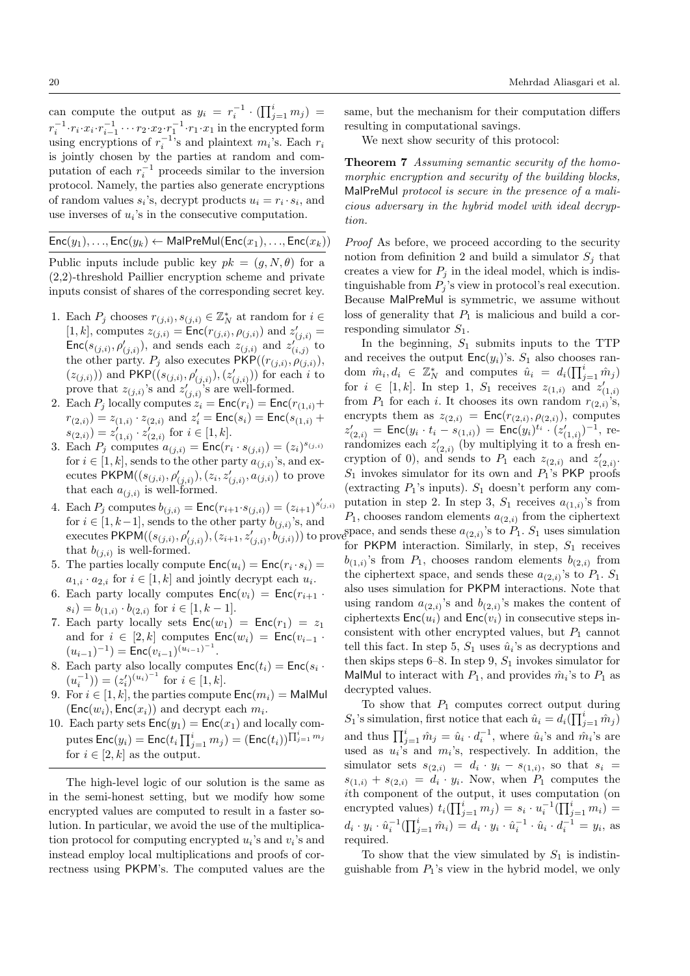can compute the output as  $y_i = r_i^{-1} \cdot (\prod_{j=1}^i m_j) =$  $r_i^{-1} \cdot r_i \cdot x_i \cdot r_{i-1}^{-1} \cdot \cdots r_2 \cdot x_2 \cdot r_1^{-1} \cdot r_1 \cdot x_1$  in the encrypted form using encryptions of  $r_i^{-1}$ 's and plaintext  $m_i$ 's. Each  $r_i$ is jointly chosen by the parties at random and computation of each  $r_i^{-1}$  proceeds similar to the inversion protocol. Namely, the parties also generate encryptions of random values  $s_i$ 's, decrypt products  $u_i = r_i \cdot s_i$ , and use inverses of  $u_i$ 's in the consecutive computation.

 $Enc(y_1), \ldots, Enc(y_k) \leftarrow \text{MalPreMul}(\text{Enc}(x_1), \ldots, \text{Enc}(x_k))$ 

Public inputs include public key  $pk = (q, N, \theta)$  for a (2,2)-threshold Paillier encryption scheme and private inputs consist of shares of the corresponding secret key.

- 1. Each  $P_j$  chooses  $r_{(j,i)}, s_{(j,i)} \in \mathbb{Z}_N^*$  at random for  $i \in$ [1, k], computes  $z_{(j,i)} = \text{Enc}(r_{(j,i)}, \rho_{(j,i)})$  and  $z'_{(j,i)} =$  $Enc(s_{(j,i)}, \rho'_{(j,i)})$ , and sends each  $z_{(j,i)}$  and  $z_{(i,j)}^{(j,i)}$  to the other party.  $P_j$  also executes  $\mathsf{PKP}((r_{(j,i)}, \rho_{(j,i)}),$  $(z_{(j,i)})$  and PKP( $(s_{(j,i)}, \rho'_{(j,i)}), (z'_{(j,i)})$ ) for each i to prove that  $z_{(j,i)}$ 's and  $z'_{(j,i)}$ 's are well-formed.
- 2. Each  $P_i$  locally computes  $z_i = \text{Enc}(r_i) = \text{Enc}(r_{(1,i)} +$  $r_{(2,i)}) = z_{(1,i)} \cdot z_{(2,i)}$  and  $z_i' = \text{Enc}(s_i) = \text{Enc}(s_{(1,i)}) + \text{Enc}(s_{(1,i)})$  $s_{(2,i)}) = z'_{(1,i)} \cdot z'_{(2,i)}$  for  $i \in [1, k]$ .
- 3. Each  $P_j$  computes  $a_{(j,i)} = \text{Enc}(r_i \cdot s_{(j,i)}) = (z_i)^{s_{(j,i)}}$ for  $i \in [1, k]$ , sends to the other party  $a_{(j,i)}$ 's, and executes PKPM( $(s_{(j,i)}, \rho'_{(j,i)}), (z_i, z'_{(j,i)}, a_{(j,i)})$  to prove that each  $a_{(j,i)}$  is well-formed.
- 4. Each  $P_j$  computes  $b_{(j,i)} = \text{Enc}(r_{i+1} \cdot s_{(j,i)}) = (z_{i+1})^{s'_{(j,i)}}$ for  $i \in [1, k-1]$ , sends to the other party  $b_{(j,i)}$ 's, and executes PKPM $((s_{(j,i)},\rho'_{(j,i)}),(z_{i+1},z'_{(j,i)},\overline{b_{(j,i)}}))$  to prove that  $b_{(j,i)}$  is well-formed.
- 5. The parties locally compute  $\mathsf{Enc}(u_i) = \mathsf{Enc}(r_i \cdot s_i) =$  $a_{1,i} \cdot a_{2,i}$  for  $i \in [1, k]$  and jointly decrypt each  $u_i$ .
- 6. Each party locally computes  $Enc(v_i) = Enc(r_{i+1}$ .  $s_i) = b_{(1,i)} \cdot b_{(2,i)}$  for  $i \in [1, k-1]$ .
- 7. Each party locally sets  $Enc(w_1) = Enc(r_1) = z_1$ and for  $i \in [2, k]$  computes  $\mathsf{Enc}(w_i) = \mathsf{Enc}(v_{i-1} \cdot$  $(u_{i-1})^{-1}$ ) = Enc $(v_{i-1})^{(u_{i-1})^{-1}}$ .
- 8. Each party also locally computes  $\mathsf{Enc}(t_i) = \mathsf{Enc}(s_i \cdot$  $(u_i^{-1})^{\dagger} = (z_i')^{(u_i)^{-1}}$  for  $i \in [1, k]$ .
- 9. For  $i \in [1, k]$ , the parties compute  $\mathsf{Enc}(m_i) = \mathsf{MalMul}$  $(Enc(w_i), Enc(x_i))$  and decrypt each  $m_i$ .
- 10. Each party sets  $\mathsf{Enc}(y_1) = \mathsf{Enc}(x_1)$  and locally com- $\textsf{putes Enc}(y_i) = \textsf{Enc}(t_i \prod_{j=1}^{i} m_j) = (\textsf{Enc}(t_i))^{\prod_{j=1}^{i} m_j}$ for  $i \in [2, k]$  as the output.

The high-level logic of our solution is the same as in the semi-honest setting, but we modify how some encrypted values are computed to result in a faster solution. In particular, we avoid the use of the multiplication protocol for computing encrypted  $u_i$ 's and  $v_i$ 's and instead employ local multiplications and proofs of correctness using PKPM's. The computed values are the

same, but the mechanism for their computation differs resulting in computational savings.

We next show security of this protocol:

Theorem 7 Assuming semantic security of the homomorphic encryption and security of the building blocks, MalPreMul protocol is secure in the presence of a malicious adversary in the hybrid model with ideal decryption.

Proof As before, we proceed according to the security notion from definition 2 and build a simulator  $S_i$  that creates a view for  $P_j$  in the ideal model, which is indistinguishable from  $P_j$ 's view in protocol's real execution. Because MalPreMul is symmetric, we assume without loss of generality that  $P_1$  is malicious and build a corresponding simulator  $S_1$ .

In the beginning,  $S_1$  submits inputs to the TTP and receives the output  $Enc(y_i)$ 's.  $S_1$  also chooses random  $\hat{m}_i, d_i \in \mathbb{Z}_N^*$  and computes  $\hat{u}_i = d_i(\prod_{j=1}^i \hat{m}_j)$ for  $i \in [1, k]$ . In step 1,  $S_1$  receives  $z_{(1,i)}$  and  $z'_{(1,i)}$ from  $P_1$  for each i. It chooses its own random  $r_{(2,i)}$ 's, encrypts them as  $z_{(2,i)} = \text{Enc}(r_{(2,i)}, \rho_{(2,i)})$ , computes  $z'_{(2,i)} = \textsf{Enc}(y_i \cdot t_i - s_{(1,i)}) = \textsf{Enc}(y_i)^{t_i} \cdot (z'_{(1,i)})^{-1}, \text{ re-}$ randomizes each  $z'_{(2,i)}$  (by multiplying it to a fresh encryption of 0), and sends to  $P_1$  each  $z_{(2,i)}$  and  $z'_{(2,i)}$ .  $S_1$  invokes simulator for its own and  $P_1$ 's PKP proofs (extracting  $P_1$ 's inputs).  $S_1$  doesn't perform any computation in step 2. In step 3,  $S_1$  receives  $a_{(1,i)}$ 's from  $P_1$ , chooses random elements  $a_{(2,i)}$  from the ciphertext space, and sends these  $a_{(2,i)}$ 's to  $P_1$ .  $S_1$  uses simulation for PKPM interaction. Similarly, in step,  $S_1$  receives  $b_{(1,i)}$ 's from  $P_1$ , chooses random elements  $b_{(2,i)}$  from the ciphertext space, and sends these  $a_{(2,i)}$ 's to  $P_1$ . S<sub>1</sub> also uses simulation for PKPM interactions. Note that using random  $a_{(2,i)}$ 's and  $b_{(2,i)}$ 's makes the content of ciphertexts  $Enc(u_i)$  and  $Enc(v_i)$  in consecutive steps inconsistent with other encrypted values, but  $P_1$  cannot tell this fact. In step 5,  $S_1$  uses  $\hat{u}_i$ 's as decryptions and then skips steps  $6-8$ . In step  $9, S_1$  invokes simulator for MalMul to interact with  $P_1$ , and provides  $\hat{m}_i$ 's to  $P_1$  as decrypted values.

To show that  $P_1$  computes correct output during  $S_1$ 's simulation, first notice that each  $\hat{u}_i = d_i(\prod_{j=1}^i \hat{m}_j)$ and thus  $\prod_{j=1}^{i} \hat{m}_j = \hat{u}_i \cdot d_i^{-1}$ , where  $\hat{u}_i$ 's and  $\hat{m}_i$ 's are used as  $u_i$ 's and  $m_i$ 's, respectively. In addition, the simulator sets  $s_{(2,i)} = d_i \cdot y_i - s_{(1,i)}$ , so that  $s_i =$  $s_{(1,i)} + s_{(2,i)} = d_i \cdot y_i$ . Now, when  $P_1$  computes the ith component of the output, it uses computation (on encrypted values)  $t_i(\prod_{j=1}^i m_j) = s_i \cdot u_i^{-1}(\prod_{j=1}^i m_i) =$  $d_i \cdot y_i \cdot \hat{u}_i^{-1}(\prod_{j=1}^i \hat{m}_i) = d_i \cdot y_i \cdot \hat{u}_i^{-1} \cdot \hat{u}_i \cdot d_i^{-1} = y_i$ , as required.

To show that the view simulated by  $S_1$  is indistinguishable from  $P_1$ 's view in the hybrid model, we only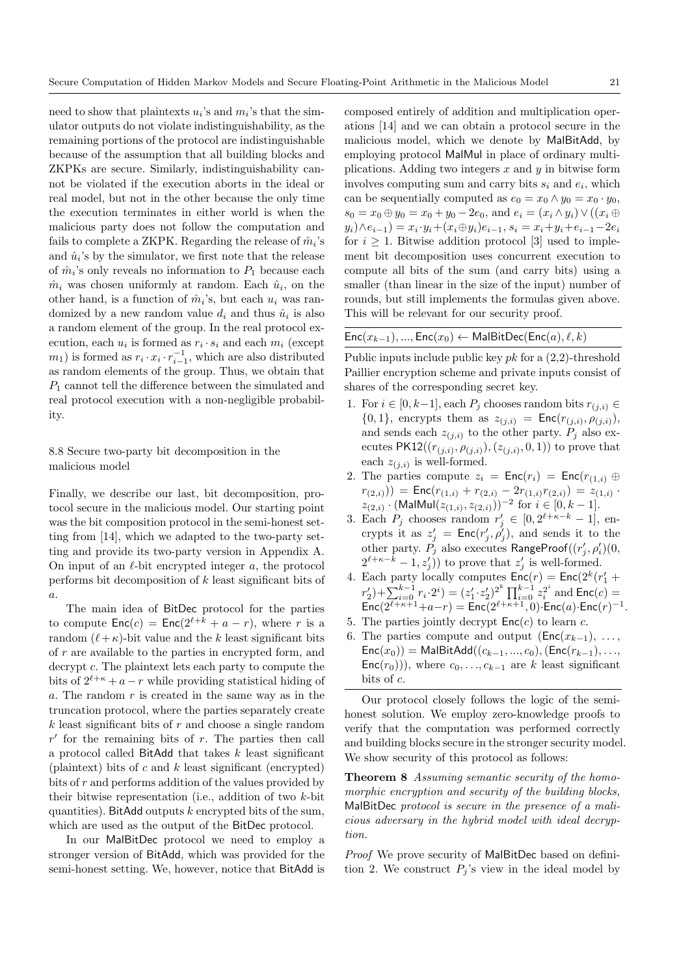need to show that plaintexts  $u_i$ 's and  $m_i$ 's that the simulator outputs do not violate indistinguishability, as the remaining portions of the protocol are indistinguishable because of the assumption that all building blocks and ZKPKs are secure. Similarly, indistinguishability cannot be violated if the execution aborts in the ideal or real model, but not in the other because the only time the execution terminates in either world is when the malicious party does not follow the computation and fails to complete a ZKPK. Regarding the release of  $\hat{m}_i$ 's and  $\hat{u}_i$ 's by the simulator, we first note that the release of  $\hat{m}_i$ 's only reveals no information to  $P_1$  because each  $\hat{m}_i$  was chosen uniformly at random. Each  $\hat{u}_i$ , on the other hand, is a function of  $\hat{m}_i$ 's, but each  $u_i$  was randomized by a new random value  $d_i$  and thus  $\hat{u}_i$  is also a random element of the group. In the real protocol execution, each  $u_i$  is formed as  $r_i \cdot s_i$  and each  $m_i$  (except  $m_1$ ) is formed as  $r_i \cdot x_i \cdot r_{i-1}^{-1}$ , which are also distributed as random elements of the group. Thus, we obtain that  $P_1$  cannot tell the difference between the simulated and real protocol execution with a non-negligible probability.

# 8.8 Secure two-party bit decomposition in the malicious model

Finally, we describe our last, bit decomposition, protocol secure in the malicious model. Our starting point was the bit composition protocol in the semi-honest setting from [14], which we adapted to the two-party setting and provide its two-party version in Appendix A. On input of an  $\ell$ -bit encrypted integer a, the protocol performs bit decomposition of  $k$  least significant bits of a.

The main idea of BitDec protocol for the parties to compute  $\textsf{Enc}(c) = \textsf{Enc}(2^{\ell+k} + a - r)$ , where r is a random  $(\ell + \kappa)$ -bit value and the k least significant bits of r are available to the parties in encrypted form, and decrypt c. The plaintext lets each party to compute the bits of  $2^{\ell+\kappa} + a - r$  while providing statistical hiding of a. The random  $r$  is created in the same way as in the truncation protocol, where the parties separately create  $k$  least significant bits of  $r$  and choose a single random  $r'$  for the remaining bits of r. The parties then call a protocol called  $BitAdd$  that takes  $k$  least significant (plaintext) bits of c and  $k$  least significant (encrypted) bits of r and performs addition of the values provided by their bitwise representation (i.e., addition of two k-bit quantities). BitAdd outputs  $k$  encrypted bits of the sum, which are used as the output of the BitDec protocol.

In our MalBitDec protocol we need to employ a stronger version of BitAdd, which was provided for the semi-honest setting. We, however, notice that BitAdd is

composed entirely of addition and multiplication operations [14] and we can obtain a protocol secure in the malicious model, which we denote by MalBitAdd, by employing protocol MalMul in place of ordinary multiplications. Adding two integers  $x$  and  $y$  in bitwise form involves computing sum and carry bits  $s_i$  and  $e_i$ , which can be sequentially computed as  $e_0 = x_0 \wedge y_0 = x_0 \cdot y_0$ ,  $s_0 = x_0 \oplus y_0 = x_0 + y_0 - 2e_0$ , and  $e_i = (x_i \wedge y_i) \vee ((x_i \oplus$  $y_i) \wedge e_{i-1} = x_i \cdot y_i + (x_i \oplus y_i)e_{i-1}, s_i = x_i + y_i + e_{i-1} - 2e_i$ for  $i \geq 1$ . Bitwise addition protocol [3] used to implement bit decomposition uses concurrent execution to compute all bits of the sum (and carry bits) using a smaller (than linear in the size of the input) number of rounds, but still implements the formulas given above. This will be relevant for our security proof.

|  |  | $\mathsf{Enc}(x_{k-1}),,\mathsf{Enc}(x_0) \leftarrow \mathsf{MalBitDec}(\mathsf{Enc}(a),\ell,k)$ |  |
|--|--|--------------------------------------------------------------------------------------------------|--|
|--|--|--------------------------------------------------------------------------------------------------|--|

Public inputs include public key  $pk$  for a  $(2,2)$ -threshold Paillier encryption scheme and private inputs consist of shares of the corresponding secret key.

- 1. For  $i \in [0, k-1]$ , each  $P_i$  chooses random bits  $r_{(i,i)} \in$  $\{0,1\}$ , encrypts them as  $z_{(j,i)} = \text{Enc}(r_{(j,i)}, \rho_{(j,i)}),$ and sends each  $z_{(j,i)}$  to the other party.  $P_j$  also executes  $PK12((r_{(j,i)}, \rho_{(j,i)}), (z_{(j,i)}, 0, 1))$  to prove that each  $z_{(j,i)}$  is well-formed.
- 2. The parties compute  $z_i = \text{Enc}(r_i) = \text{Enc}(r_{(1,i)} \oplus$  $r_{(2,i)}$ )) = Enc $(r_{(1,i)} + r_{(2,i)} - 2r_{(1,i)}r_{(2,i)}) = z_{(1,i)}$ .  $z_{(2,i)}$  · (MalMul( $z_{(1,i)}$ ,  $z_{(2,i)}$ ))<sup>-2</sup> for  $i \in [0, k-1]$ .
- 3. Each  $P_j$  chooses random  $r'_j \in [0, 2^{\ell+\kappa-k} 1]$ , encrypts it as  $z_j' = \text{Enc}(r_j', \rho_j')$ , and sends it to the other party.  $P_j$  also executes RangeProof $((r_j', \rho_i')(0,$  $2^{\ell+\kappa-k}-1, z_j')$  to prove that  $z_j'$  is well-formed.
- 4. Each party locally computes  $\mathsf{Enc}(r) = \mathsf{Enc}(2^k(r_1 +$  $r'_2$  +  $\sum_{i=0}^{k-1} r_i \cdot 2^i$  =  $(z'_1 \cdot z'_2)^{2^k} \prod_{i=0}^{k-1} z_i^{2^i}$  and  $\text{Enc}(c)$  =  $Enc(2^{\ell+\kappa+1}+a-r) = Enc(2^{\ell+\kappa+1}, 0) \cdot Enc(a) \cdot Enc(r)^{-1}.$
- 5. The parties jointly decrypt  $Enc(c)$  to learn c.
- 6. The parties compute and output ( $Enc(x_{k-1}), \ldots,$  $Enc(x_0)) = MalBitAdd((c_{k-1}, ..., c_0), (Enc(r_{k-1}), ...,$  $Enc(r_0))$ , where  $c_0, \ldots, c_{k-1}$  are k least significant bits of c.

Our protocol closely follows the logic of the semihonest solution. We employ zero-knowledge proofs to verify that the computation was performed correctly and building blocks secure in the stronger security model. We show security of this protocol as follows:

Theorem 8 Assuming semantic security of the homomorphic encryption and security of the building blocks, MalBitDec protocol is secure in the presence of a malicious adversary in the hybrid model with ideal decryption.

Proof We prove security of MalBitDec based on definition 2. We construct  $P_i$ 's view in the ideal model by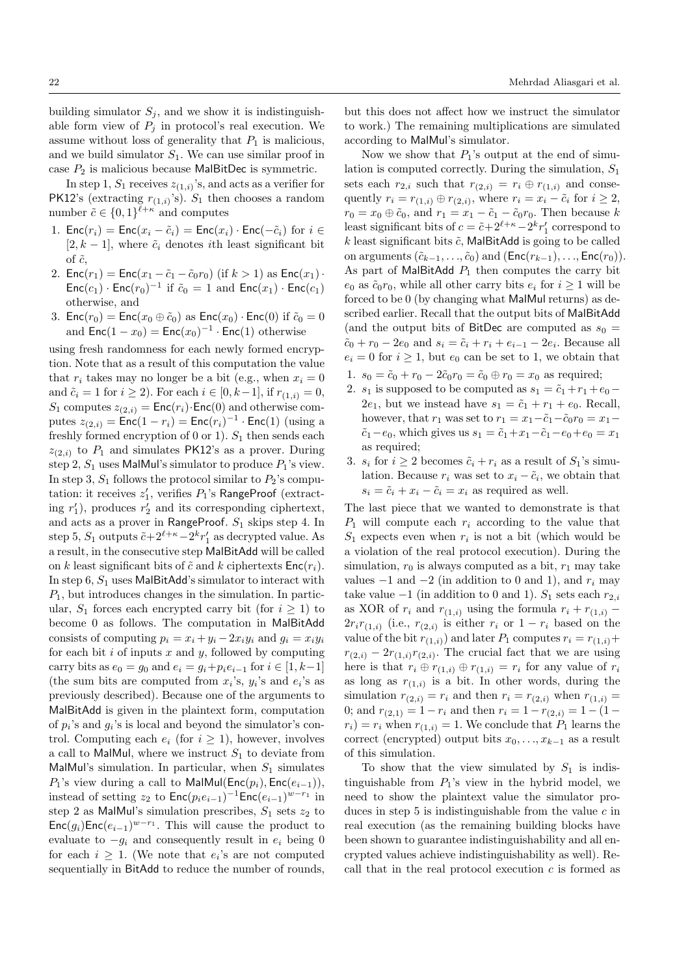building simulator  $S_j$ , and we show it is indistinguishable form view of  $P_i$  in protocol's real execution. We assume without loss of generality that  $P_1$  is malicious, and we build simulator  $S_1$ . We can use similar proof in case  $P_2$  is malicious because MalBitDec is symmetric.

In step 1,  $S_1$  receives  $z_{(1,i)}$ 's, and acts as a verifier for **PK12**'s (extracting  $r_{(1,i)}$ 's).  $S_1$  then chooses a random number  $\tilde{c} \in \{0,1\}^{\ell+\kappa}$  and computes

- 1.  $Enc(r_i) = Enc(x_i \tilde{c}_i) = Enc(x_i) \cdot Enc(-\tilde{c}_i)$  for  $i \in$  $[2, k - 1]$ , where  $\tilde{c}_i$  denotes *i*th least significant bit of  $\tilde{c}$ ,
- 2.  $\text{Enc}(r_1) = \text{Enc}(x_1 \tilde{c}_1 \tilde{c}_0 r_0)$  (if  $k > 1$ ) as  $\text{Enc}(x_1)$ .  $\mathsf{Enc}(c_1) \cdot \mathsf{Enc}(r_0)^{-1}$  if  $\tilde{c}_0 = 1$  and  $\mathsf{Enc}(x_1) \cdot \mathsf{Enc}(c_1)$ otherwise, and
- 3.  $Enc(r_0) = Enc(x_0 \oplus \tilde{c}_0)$  as  $Enc(x_0) \cdot Enc(0)$  if  $\tilde{c}_0 = 0$ and  $\mathsf{Enc}(1-x_0) = \mathsf{Enc}(x_0)^{-1} \cdot \mathsf{Enc}(1)$  otherwise

using fresh randomness for each newly formed encryption. Note that as a result of this computation the value that  $r_i$  takes may no longer be a bit (e.g., when  $x_i = 0$ and  $\tilde{c}_i = 1$  for  $i \geq 2$ ). For each  $i \in [0, k-1]$ , if  $r_{(1,i)} = 0$ ,  $S_1$  computes  $z_{(2,i)} = \text{Enc}(r_i) \cdot \text{Enc}(0)$  and otherwise computes  $z_{(2,i)} = \text{Enc}(1 - r_i) = \text{Enc}(r_i)^{-1} \cdot \text{Enc}(1)$  (using a freshly formed encryption of 0 or 1).  $S_1$  then sends each  $z_{(2,i)}$  to  $P_1$  and simulates PK12's as a prover. During step 2,  $S_1$  uses MalMul's simulator to produce  $P_1$ 's view. In step 3,  $S_1$  follows the protocol similar to  $P_2$ 's computation: it receives  $z'_1$ , verifies  $P_1$ 's RangeProof (extracting  $r'_1$ ), produces  $r'_2$  and its corresponding ciphertext, and acts as a prover in RangeProof.  $S_1$  skips step 4. In step 5,  $S_1$  outputs  $\tilde{c} + 2^{\ell+\kappa} - 2^k r'_1$  as decrypted value. As a result, in the consecutive step MalBitAdd will be called on k least significant bits of  $\tilde{c}$  and k ciphertexts  $Enc(r_i)$ . In step  $6, S_1$  uses MalBitAdd's simulator to interact with  $P_1$ , but introduces changes in the simulation. In particular,  $S_1$  forces each encrypted carry bit (for  $i \geq 1$ ) to become 0 as follows. The computation in MalBitAdd consists of computing  $p_i = x_i + y_i - 2x_iy_i$  and  $g_i = x_iy_i$ for each bit  $i$  of inputs  $x$  and  $y$ , followed by computing carry bits as  $e_0 = g_0$  and  $e_i = g_i + p_i e_{i-1}$  for  $i \in [1, k-1]$ (the sum bits are computed from  $x_i$ 's,  $y_i$ 's and  $e_i$ 's as previously described). Because one of the arguments to MalBitAdd is given in the plaintext form, computation of  $p_i$ 's and  $g_i$ 's is local and beyond the simulator's control. Computing each  $e_i$  (for  $i \geq 1$ ), however, involves a call to MalMul, where we instruct  $S_1$  to deviate from MalMul's simulation. In particular, when  $S_1$  simulates P<sub>1</sub>'s view during a call to MalMul(Enc(p<sub>i</sub>), Enc(e<sub>i-1</sub>)), instead of setting  $z_2$  to  $\mathsf{Enc}(p_i e_{i-1})^{-1} \mathsf{Enc}(e_{i-1})^{w-r_1}$  in step 2 as MalMul's simulation prescribes,  $S_1$  sets  $z_2$  to  $\mathsf{Enc}(g_i)\mathsf{Enc}(e_{i-1})^{w-r_1}$ . This will cause the product to evaluate to  $-g_i$  and consequently result in  $e_i$  being 0 for each  $i \geq 1$ . (We note that  $e_i$ 's are not computed sequentially in BitAdd to reduce the number of rounds,

but this does not affect how we instruct the simulator to work.) The remaining multiplications are simulated according to MalMul's simulator.

Now we show that  $P_1$ 's output at the end of simulation is computed correctly. During the simulation,  $S_1$ sets each  $r_{2,i}$  such that  $r_{(2,i)} = r_i \oplus r_{(1,i)}$  and consequently  $r_i = r_{(1,i)} \oplus r_{(2,i)}$ , where  $r_i = x_i - \tilde{c}_i$  for  $i \geq 2$ ,  $r_0 = x_0 \oplus \tilde{c}_0$ , and  $r_1 = x_1 - \tilde{c}_1 - \tilde{c}_0 r_0$ . Then because k least significant bits of  $c = \tilde{c} + 2^{\ell+\kappa} - 2^k r'_1$  correspond to  $k$  least significant bits  $\tilde{c}$ , MalBitAdd is going to be called on arguments  $(\tilde{c}_{k-1}, \ldots, \tilde{c}_0)$  and  $(\textsf{Enc}(r_{k-1}), \ldots, \textsf{Enc}(r_0)).$ As part of MalBitAdd  $P_1$  then computes the carry bit  $e_0$  as  $\tilde{c}_0r_0$ , while all other carry bits  $e_i$  for  $i \geq 1$  will be forced to be 0 (by changing what MalMul returns) as described earlier. Recall that the output bits of MalBitAdd (and the output bits of BitDec are computed as  $s_0 =$  $\tilde{c}_0 + r_0 - 2e_0$  and  $s_i = \tilde{c}_i + r_i + e_{i-1} - 2e_i$ . Because all  $e_i = 0$  for  $i \geq 1$ , but  $e_0$  can be set to 1, we obtain that

- 1.  $s_0 = \tilde{c}_0 + r_0 2\tilde{c}_0r_0 = \tilde{c}_0 \oplus r_0 = x_0$  as required;
- 2.  $s_1$  is supposed to be computed as  $s_1 = \tilde{c}_1 + r_1 + e_0$  $2e_1$ , but we instead have  $s_1 = \tilde{c}_1 + r_1 + e_0$ . Recall, however, that  $r_1$  was set to  $r_1 = x_1 - \tilde{c}_1 - \tilde{c}_0 r_0 = x_1 \tilde{c}_1 - e_0$ , which gives us  $s_1 = \tilde{c}_1 + x_1 - \tilde{c}_1 - e_0 + e_0 = x_1$ as required;
- 3.  $s_i$  for  $i \geq 2$  becomes  $\tilde{c}_i + r_i$  as a result of  $S_1$ 's simulation. Because  $r_i$  was set to  $x_i - \tilde{c}_i$ , we obtain that  $s_i = \tilde{c}_i + x_i - \tilde{c}_i = x_i$  as required as well.

The last piece that we wanted to demonstrate is that  $P_1$  will compute each  $r_i$  according to the value that  $S_1$  expects even when  $r_i$  is not a bit (which would be a violation of the real protocol execution). During the simulation,  $r_0$  is always computed as a bit,  $r_1$  may take values  $-1$  and  $-2$  (in addition to 0 and 1), and  $r_i$  may take value  $-1$  (in addition to 0 and 1).  $S_1$  sets each  $r_{2,i}$ as XOR of  $r_i$  and  $r_{(1,i)}$  using the formula  $r_i + r_{(1,i)}$  –  $2r_i r_{(1,i)}$  (i.e.,  $r_{(2,i)}$  is either  $r_i$  or  $1-r_i$  based on the value of the bit  $r_{(1,i)}$  and later  $P_1$  computes  $r_i = r_{(1,i)}+$  $r_{(2,i)} - 2r_{(1,i)}r_{(2,i)}$ . The crucial fact that we are using here is that  $r_i \oplus r_{(1,i)} \oplus r_{(1,i)} = r_i$  for any value of  $r_i$ as long as  $r_{(1,i)}$  is a bit. In other words, during the simulation  $r_{(2,i)} = r_i$  and then  $r_i = r_{(2,i)}$  when  $r_{(1,i)} =$ 0; and  $r_{(2,1)} = 1 - r_i$  and then  $r_i = 1 - r_{(2,i)} = 1 - (1$  $r_i$  =  $r_i$  when  $r_{(1,i)} = 1$ . We conclude that  $P_1$  learns the correct (encrypted) output bits  $x_0, \ldots, x_{k-1}$  as a result of this simulation.

To show that the view simulated by  $S_1$  is indistinguishable from  $P_1$ 's view in the hybrid model, we need to show the plaintext value the simulator produces in step 5 is indistinguishable from the value  $c$  in real execution (as the remaining building blocks have been shown to guarantee indistinguishability and all encrypted values achieve indistinguishability as well). Recall that in the real protocol execution  $c$  is formed as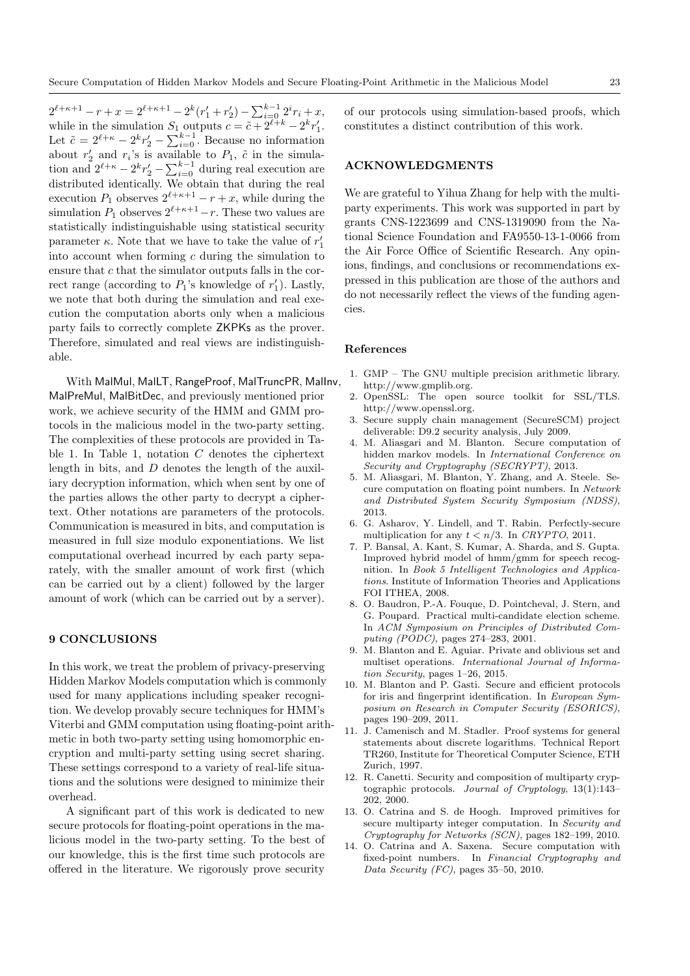$2^{\ell+\kappa+1} - r + x = 2^{\ell+\kappa+1} - 2^k(r'_1 + r'_2) - \sum_{i=0}^{k-1} 2^i r_i + x,$ while in the simulation  $S_1$  outputs  $c = \tilde{c} + 2^{\ell+k} - 2^k r'_1$ . Let  $\tilde{c} = 2^{\ell+\kappa} - 2^k r_2' - \sum_{i=0}^{k-1}$ . Because no information about  $r'_2$  and  $r_i$ 's is available to  $P_1$ ,  $\tilde{c}$  in the simulation and  $2^{\ell+\kappa} - 2^k r'_2 - \sum_{i=0}^{k-1}$  during real execution are distributed identically. We obtain that during the real execution  $P_1$  observes  $2^{\ell+\kappa+1} - r + x$ , while during the simulation  $P_1$  observes  $2^{\ell+\kappa+1}-r$ . These two values are statistically indistinguishable using statistical security parameter  $\kappa$ . Note that we have to take the value of  $r'_1$ into account when forming c during the simulation to ensure that c that the simulator outputs falls in the correct range (according to  $P_1$ 's knowledge of  $r'_1$ ). Lastly, we note that both during the simulation and real execution the computation aborts only when a malicious party fails to correctly complete ZKPKs as the prover. Therefore, simulated and real views are indistinguishable.

With MalMul, MalLT, RangeProof, MalTruncPR, MalInv, MalPreMul, MalBitDec, and previously mentioned prior work, we achieve security of the HMM and GMM protocols in the malicious model in the two-party setting. The complexities of these protocols are provided in Table 1. In Table 1, notation  $C$  denotes the ciphertext length in bits, and  $D$  denotes the length of the auxiliary decryption information, which when sent by one of the parties allows the other party to decrypt a ciphertext. Other notations are parameters of the protocols. Communication is measured in bits, and computation is measured in full size modulo exponentiations. We list computational overhead incurred by each party separately, with the smaller amount of work first (which can be carried out by a client) followed by the larger amount of work (which can be carried out by a server).

#### 9 CONCLUSIONS

In this work, we treat the problem of privacy-preserving Hidden Markov Models computation which is commonly used for many applications including speaker recognition. We develop provably secure techniques for HMM's Viterbi and GMM computation using floating-point arithmetic in both two-party setting using homomorphic encryption and multi-party setting using secret sharing. These settings correspond to a variety of real-life situations and the solutions were designed to minimize their overhead.

A significant part of this work is dedicated to new secure protocols for floating-point operations in the malicious model in the two-party setting. To the best of our knowledge, this is the first time such protocols are offered in the literature. We rigorously prove security

of our protocols using simulation-based proofs, which constitutes a distinct contribution of this work.

### ACKNOWLEDGMENTS

We are grateful to Yihua Zhang for help with the multiparty experiments. This work was supported in part by grants CNS-1223699 and CNS-1319090 from the National Science Foundation and FA9550-13-1-0066 from the Air Force Office of Scientific Research. Any opinions, findings, and conclusions or recommendations expressed in this publication are those of the authors and do not necessarily reflect the views of the funding agencies.

#### References

- 1. GMP The GNU multiple precision arithmetic library. http://www.gmplib.org.
- 2. OpenSSL: The open source toolkit for SSL/TLS. http://www.openssl.org.
- 3. Secure supply chain management (SecureSCM) project deliverable: D9.2 security analysis, July 2009.
- 4. M. Aliasgari and M. Blanton. Secure computation of hidden markov models. In International Conference on Security and Cryptography (SECRYPT), 2013.
- 5. M. Aliasgari, M. Blanton, Y. Zhang, and A. Steele. Secure computation on floating point numbers. In Network and Distributed System Security Symposium (NDSS), 2013.
- 6. G. Asharov, Y. Lindell, and T. Rabin. Perfectly-secure multiplication for any  $t < n/3$ . In CRYPTO, 2011.
- 7. P. Bansal, A. Kant, S. Kumar, A. Sharda, and S. Gupta. Improved hybrid model of hmm/gmm for speech recognition. In Book 5 Intelligent Technologies and Applications. Institute of Information Theories and Applications FOI ITHEA, 2008.
- 8. O. Baudron, P.-A. Fouque, D. Pointcheval, J. Stern, and G. Poupard. Practical multi-candidate election scheme. In ACM Symposium on Principles of Distributed Computing (PODC), pages 274–283, 2001.
- 9. M. Blanton and E. Aguiar. Private and oblivious set and multiset operations. International Journal of Information Security, pages 1–26, 2015.
- 10. M. Blanton and P. Gasti. Secure and efficient protocols for iris and fingerprint identification. In European Symposium on Research in Computer Security (ESORICS), pages 190–209, 2011.
- 11. J. Camenisch and M. Stadler. Proof systems for general statements about discrete logarithms. Technical Report TR260, Institute for Theoretical Computer Science, ETH Zurich, 1997.
- 12. R. Canetti. Security and composition of multiparty cryptographic protocols. Journal of Cryptology, 13(1):143– 202, 2000.
- 13. O. Catrina and S. de Hoogh. Improved primitives for secure multiparty integer computation. In Security and Cryptography for Networks (SCN), pages 182–199, 2010.
- 14. O. Catrina and A. Saxena. Secure computation with fixed-point numbers. In Financial Cryptography and Data Security (FC), pages 35–50, 2010.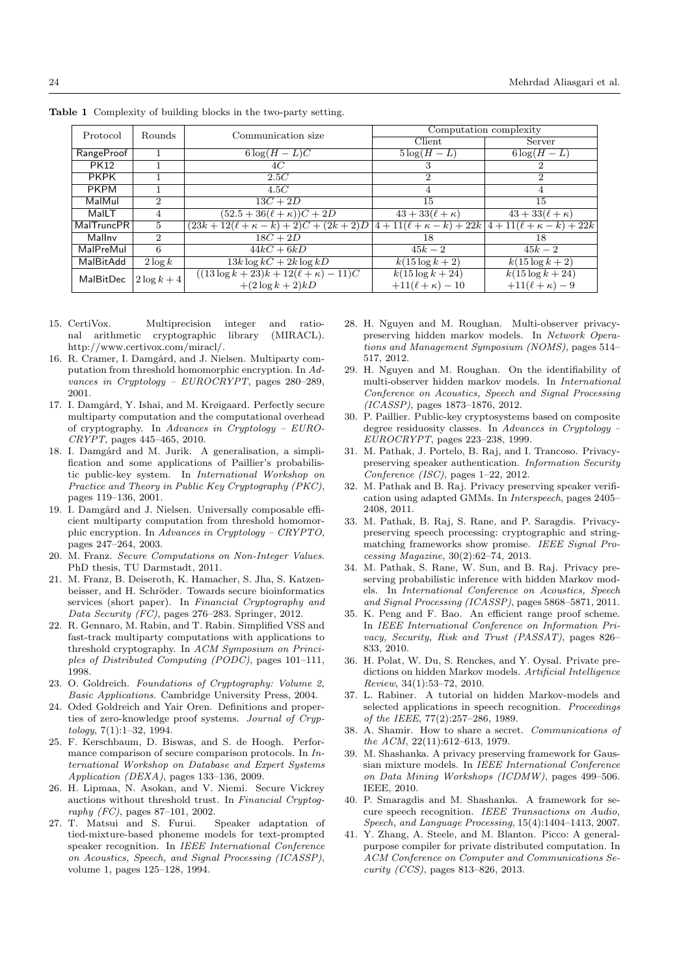| Protocol          | <b>Rounds</b>               | Communication size                                                                   | Computation complexity    |                             |  |  |  |
|-------------------|-----------------------------|--------------------------------------------------------------------------------------|---------------------------|-----------------------------|--|--|--|
|                   |                             |                                                                                      | Client                    | Server                      |  |  |  |
| <b>RangeProof</b> |                             | $6\log(H-L)C$                                                                        | $5\log(H-L)$              | $6\log(H-L)$                |  |  |  |
| <b>PK12</b>       |                             | 4C                                                                                   | 3                         |                             |  |  |  |
| <b>PKPK</b>       |                             | 2.5C                                                                                 | $\overline{2}$            | $\mathcal{D}_{\mathcal{L}}$ |  |  |  |
| <b>PKPM</b>       |                             | 4.5C                                                                                 | 4                         | 4                           |  |  |  |
| MalMul            | $\overline{2}$              | $13C + 2D$                                                                           | 15                        | 15                          |  |  |  |
| MalLT             | 4                           | $(52.5 + 36(\ell + \kappa))C + 2D$                                                   | $43 + 33(\ell + \kappa)$  | $43 + 33(\ell + \kappa)$    |  |  |  |
| <b>MalTruncPR</b> | 5                           | $(23k+12(\ell+\kappa-k)+2)C+(2k+2)D 4+11(\ell+\kappa-k)+22k 4+11(\ell+\kappa-k)+22k$ |                           |                             |  |  |  |
| Mallny            | $\mathcal{D}_{\mathcal{L}}$ | $\overline{18C} + 2D$                                                                | 18                        | 18                          |  |  |  |
| MalPreMul         | 6                           | $44kC + 6kD$                                                                         | $45k - 2$                 | $45k - 2$                   |  |  |  |
| MalBitAdd         | $2\log k$                   | $13k \log kC + 2k \log kD$                                                           | $k(15 \log k + 2)$        | $k(15 \log k + 2)$          |  |  |  |
| MalBitDec         | $2\log k + 4$               | $((13 \log k + 23)k + 12(\ell + \kappa) - 11)C$                                      | $k(15 \log k + 24)$       | $k(15\log k + 24)$          |  |  |  |
|                   |                             | $+(2 \log k + 2)kD$                                                                  | $+11(\ell + \kappa) - 10$ | $+11(\ell + \kappa) - 9$    |  |  |  |

|  | Table 1 Complexity of building blocks in the two-party setting. |  |  |  |  |  |  |  |
|--|-----------------------------------------------------------------|--|--|--|--|--|--|--|
|--|-----------------------------------------------------------------|--|--|--|--|--|--|--|

- 15. CertiVox. Multiprecision integer and rational arithmetic cryptographic library (MIRACL). http://www.certivox.com/miracl/.
- 16. R. Cramer, I. Damgård, and J. Nielsen. Multiparty computation from threshold homomorphic encryption. In Advances in Cryptology – EUROCRYPT, pages 280–289, 2001.
- 17. I. Damgård, Y. Ishai, and M. Krøigaard. Perfectly secure multiparty computation and the computational overhead of cryptography. In Advances in Cryptology – EURO-CRYPT, pages 445–465, 2010.
- 18. I. Damgård and M. Jurik. A generalisation, a simplification and some applications of Paillier's probabilistic public-key system. In International Workshop on Practice and Theory in Public Key Cryptography (PKC), pages 119–136, 2001.
- 19. I. Damgård and J. Nielsen. Universally composable efficient multiparty computation from threshold homomorphic encryption. In Advances in Cryptology – CRYPTO, pages 247–264, 2003.
- 20. M. Franz. Secure Computations on Non-Integer Values. PhD thesis, TU Darmstadt, 2011.
- 21. M. Franz, B. Deiseroth, K. Hamacher, S. Jha, S. Katzenbeisser, and H. Schröder. Towards secure bioinformatics services (short paper). In Financial Cryptography and Data Security (FC), pages 276–283. Springer, 2012.
- 22. R. Gennaro, M. Rabin, and T. Rabin. Simplified VSS and fast-track multiparty computations with applications to threshold cryptography. In ACM Symposium on Principles of Distributed Computing (PODC), pages 101–111, 1998.
- 23. O. Goldreich. Foundations of Cryptography: Volume 2, Basic Applications. Cambridge University Press, 2004.
- 24. Oded Goldreich and Yair Oren. Definitions and properties of zero-knowledge proof systems. Journal of Cryptology, 7(1):1–32, 1994.
- 25. F. Kerschbaum, D. Biswas, and S. de Hoogh. Performance comparison of secure comparison protocols. In International Workshop on Database and Expert Systems Application (DEXA), pages 133–136, 2009.
- 26. H. Lipmaa, N. Asokan, and V. Niemi. Secure Vickrey auctions without threshold trust. In Financial Cryptography (FC), pages 87–101, 2002.
- 27. T. Matsui and S. Furui. Speaker adaptation of tied-mixture-based phoneme models for text-prompted speaker recognition. In IEEE International Conference on Acoustics, Speech, and Signal Processing (ICASSP), volume 1, pages 125–128, 1994.
- 28. H. Nguyen and M. Roughan. Multi-observer privacypreserving hidden markov models. In Network Operations and Management Symposium (NOMS), pages 514– 517, 2012.
- 29. H. Nguyen and M. Roughan. On the identifiability of multi-observer hidden markov models. In International Conference on Acoustics, Speech and Signal Processing (ICASSP), pages 1873–1876, 2012.
- 30. P. Paillier. Public-key cryptosystems based on composite degree residuosity classes. In Advances in Cryptology EUROCRYPT, pages 223–238, 1999.
- 31. M. Pathak, J. Portelo, B. Raj, and I. Trancoso. Privacypreserving speaker authentication. Information Security Conference (ISC), pages 1–22, 2012.
- 32. M. Pathak and B. Raj. Privacy preserving speaker verification using adapted GMMs. In Interspeech, pages 2405– 2408, 2011.
- 33. M. Pathak, B. Raj, S. Rane, and P. Saragdis. Privacypreserving speech processing: cryptographic and stringmatching frameworks show promise. IEEE Signal Processing Magazine, 30(2):62–74, 2013.
- 34. M. Pathak, S. Rane, W. Sun, and B. Raj. Privacy preserving probabilistic inference with hidden Markov models. In International Conference on Acoustics, Speech and Signal Processing (ICASSP), pages 5868–5871, 2011.
- 35. K. Peng and F. Bao. An efficient range proof scheme. In IEEE International Conference on Information Privacy, Security, Risk and Trust (PASSAT), pages 826– 833, 2010.
- 36. H. Polat, W. Du, S. Renckes, and Y. Oysal. Private predictions on hidden Markov models. Artificial Intelligence Review, 34(1):53–72, 2010.
- 37. L. Rabiner. A tutorial on hidden Markov-models and selected applications in speech recognition. Proceedings of the IEEE, 77(2):257–286, 1989.
- 38. A. Shamir. How to share a secret. Communications of the ACM, 22(11):612–613, 1979.
- 39. M. Shashanka. A privacy preserving framework for Gaussian mixture models. In IEEE International Conference on Data Mining Workshops (ICDMW), pages 499–506. IEEE, 2010.
- 40. P. Smaragdis and M. Shashanka. A framework for secure speech recognition. IEEE Transactions on Audio, Speech, and Language Processing, 15(4):1404–1413, 2007.
- 41. Y. Zhang, A. Steele, and M. Blanton. Picco: A generalpurpose compiler for private distributed computation. In ACM Conference on Computer and Communications Security (CCS), pages 813–826, 2013.